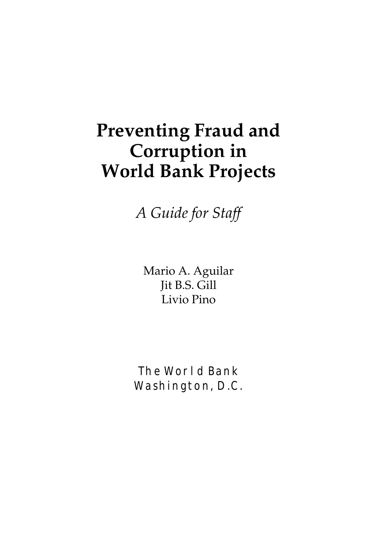# **Preventing Fraud and Corruption in World Bank Projects**

*A Guide for Staff*

Mario A. Aguilar Jit B.S. Gill Livio Pino

The World Bank Washington, D.C.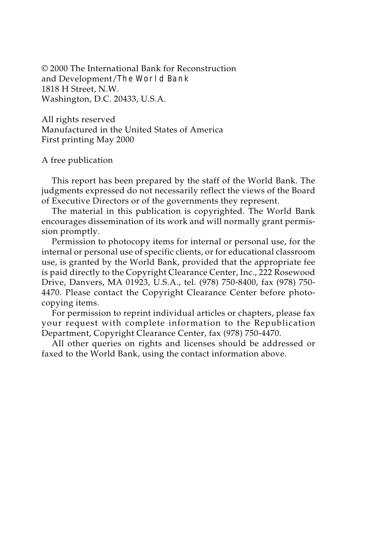© 2000 The International Bank for Reconstruction and Development/The World Bank 1818 H Street, N.W. Washington, D.C. 20433, U.S.A.

All rights reserved Manufactured in the United States of America First printing May 2000

#### A free publication

This report has been prepared by the staff of the World Bank. The judgments expressed do not necessarily reflect the views of the Board of Executive Directors or of the governments they represent.

The material in this publication is copyrighted. The World Bank encourages dissemination of its work and will normally grant permission promptly.

Permission to photocopy items for internal or personal use, for the internal or personal use of specific clients, or for educational classroom use, is granted by the World Bank, provided that the appropriate fee is paid directly to the Copyright Clearance Center, Inc., 222 Rosewood Drive, Danvers, MA 01923, U.S.A., tel. (978) 750-8400, fax (978) 750- 4470. Please contact the Copyright Clearance Center before photocopying items.

For permission to reprint individual articles or chapters, please fax your request with complete information to the Republication Department, Copyright Clearance Center, fax (978) 750-4470.

All other queries on rights and licenses should be addressed or faxed to the World Bank, using the contact information above.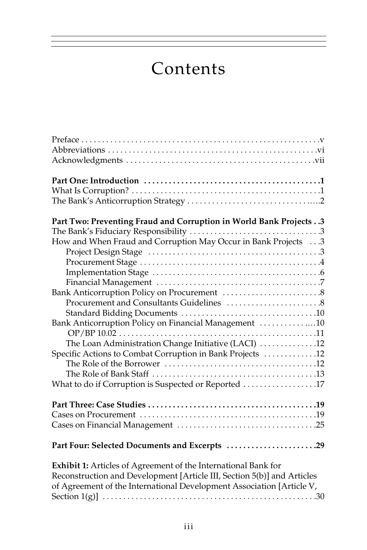# Contents

| Part Two: Preventing Fraud and Corruption in World Bank Projects 3      |
|-------------------------------------------------------------------------|
|                                                                         |
| How and When Fraud and Corruption May Occur in Bank Projects 3          |
|                                                                         |
|                                                                         |
|                                                                         |
|                                                                         |
|                                                                         |
|                                                                         |
|                                                                         |
| Bank Anticorruption Policy on Financial Management 10                   |
|                                                                         |
| The Loan Administration Change Initiative (LACI) 12                     |
| Specific Actions to Combat Corruption in Bank Projects 12               |
|                                                                         |
|                                                                         |
| What to do if Corruption is Suspected or Reported 17                    |
|                                                                         |
|                                                                         |
|                                                                         |
| Part Four: Selected Documents and Excerpts 29                           |
| Exhibit 1: Articles of Agreement of the International Bank for          |
| Reconstruction and Development [Article III, Section 5(b)] and Articles |
| of Agreement of the International Development Association [Article V,   |
|                                                                         |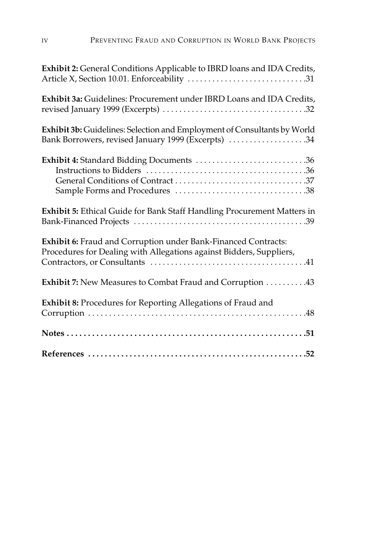| Exhibit 2: General Conditions Applicable to IBRD loans and IDA Credits,                                                               |
|---------------------------------------------------------------------------------------------------------------------------------------|
| Exhibit 3a: Guidelines: Procurement under IBRD Loans and IDA Credits,                                                                 |
| Exhibit 3b: Guidelines: Selection and Employment of Consultants by World<br>Bank Borrowers, revised January 1999 (Excerpts) 34        |
| Exhibit 4: Standard Bidding Documents 36                                                                                              |
| Exhibit 5: Ethical Guide for Bank Staff Handling Procurement Matters in                                                               |
| Exhibit 6: Fraud and Corruption under Bank-Financed Contracts:<br>Procedures for Dealing with Allegations against Bidders, Suppliers, |
| Exhibit 7: New Measures to Combat Fraud and Corruption 43                                                                             |
| Exhibit 8: Procedures for Reporting Allegations of Fraud and                                                                          |
|                                                                                                                                       |
|                                                                                                                                       |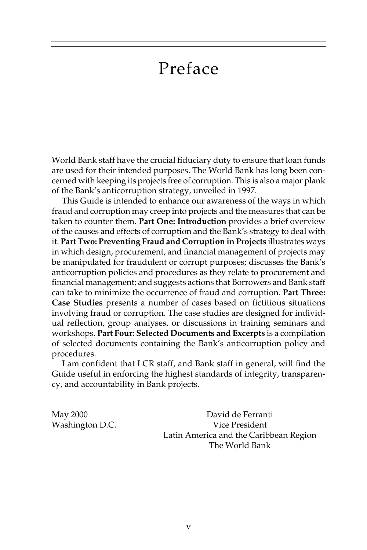## Preface

World Bank staff have the crucial fiduciary duty to ensure that loan funds are used for their intended purposes. The World Bank has long been concerned with keeping its projects free of corruption. This is also a major plank of the Bank's anticorruption strategy, unveiled in 1997.

This Guide is intended to enhance our awareness of the ways in which fraud and corruption may creep into projects and the measures that can be taken to counter them. **Part One: Introduction** provides a brief overview of the causes and effects of corruption and the Bank's strategy to deal with it. **Part Two: Preventing Fraud and Corruption in Projects** illustrates ways in which design, procurement, and financial management of projects may be manipulated for fraudulent or corrupt purposes; discusses the Bank's anticorruption policies and procedures as they relate to procurement and financial management; and suggests actions that Borrowers and Bank staff can take to minimize the occurrence of fraud and corruption. **Part Three: Case Studies** presents a number of cases based on fictitious situations involving fraud or corruption. The case studies are designed for individual reflection, group analyses, or discussions in training seminars and workshops. **Part Four: Selected Documents and Excerpts** is a compilation of selected documents containing the Bank's anticorruption policy and procedures.

I am confident that LCR staff, and Bank staff in general, will find the Guide useful in enforcing the highest standards of integrity, transparency, and accountability in Bank projects.

May 2000 David de Ferranti Washington D.C. Vice President Latin America and the Caribbean Region The World Bank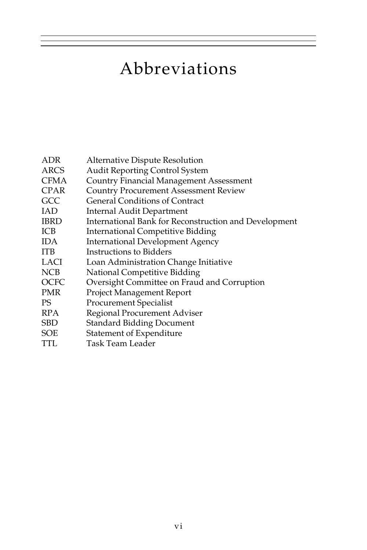## Abbreviations

- ADR Alternative Dispute Resolution
- ARCS Audit Reporting Control System
- CFMA Country Financial Management Assessment
- CPAR Country Procurement Assessment Review
- GCC General Conditions of Contract
- IAD Internal Audit Department
- IBRD International Bank for Reconstruction and Development
- ICB International Competitive Bidding
- IDA International Development Agency
- ITB Instructions to Bidders
- LACI Loan Administration Change Initiative
- NCB National Competitive Bidding
- OCFC Oversight Committee on Fraud and Corruption
- PMR Project Management Report
- PS Procurement Specialist
- RPA Regional Procurement Adviser
- SBD Standard Bidding Document
- SOE Statement of Expenditure
- TTL Task Team Leader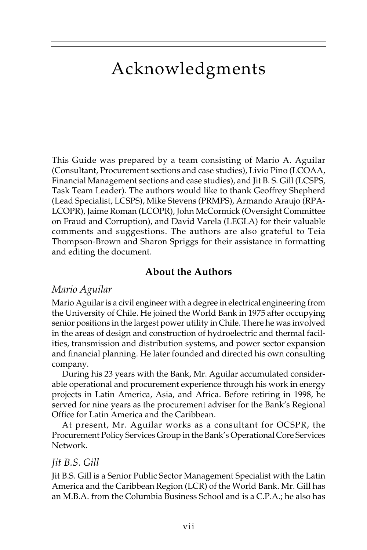## Acknowledgments

This Guide was prepared by a team consisting of Mario A. Aguilar (Consultant, Procurement sections and case studies), Livio Pino (LCOAA, Financial Management sections and case studies), and Jit B. S. Gill (LCSPS, Task Team Leader). The authors would like to thank Geoffrey Shepherd (Lead Specialist, LCSPS), Mike Stevens (PRMPS), Armando Araujo (RPA-LCOPR), Jaime Roman (LCOPR), John McCormick (Oversight Committee on Fraud and Corruption), and David Varela (LEGLA) for their valuable comments and suggestions. The authors are also grateful to Teia Thompson-Brown and Sharon Spriggs for their assistance in formatting and editing the document.

### **About the Authors**

### *Mario Aguilar*

Mario Aguilar is a civil engineer with a degree in electrical engineering from the University of Chile. He joined the World Bank in 1975 after occupying senior positions in the largest power utility in Chile. There he was involved in the areas of design and construction of hydroelectric and thermal facilities, transmission and distribution systems, and power sector expansion and financial planning. He later founded and directed his own consulting company.

During his 23 years with the Bank, Mr. Aguilar accumulated considerable operational and procurement experience through his work in energy projects in Latin America, Asia, and Africa. Before retiring in 1998, he served for nine years as the procurement adviser for the Bank's Regional Office for Latin America and the Caribbean.

At present, Mr. Aguilar works as a consultant for OCSPR, the Procurement Policy Services Group in the Bank's Operational Core Services Network.

#### *Jit B.S. Gill*

Jit B.S. Gill is a Senior Public Sector Management Specialist with the Latin America and the Caribbean Region (LCR) of the World Bank. Mr. Gill has an M.B.A. from the Columbia Business School and is a C.P.A.; he also has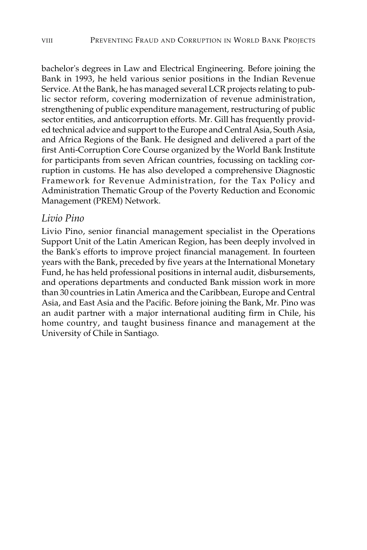bachelor's degrees in Law and Electrical Engineering. Before joining the Bank in 1993, he held various senior positions in the Indian Revenue Service. At the Bank, he has managed several LCR projects relating to public sector reform, covering modernization of revenue administration, strengthening of public expenditure management, restructuring of public sector entities, and anticorruption efforts. Mr. Gill has frequently provided technical advice and support to the Europe and Central Asia, South Asia, and Africa Regions of the Bank. He designed and delivered a part of the first Anti-Corruption Core Course organized by the World Bank Institute for participants from seven African countries, focussing on tackling corruption in customs. He has also developed a comprehensive Diagnostic Framework for Revenue Administration, for the Tax Policy and Administration Thematic Group of the Poverty Reduction and Economic Management (PREM) Network.

#### *Livio Pino*

Livio Pino, senior financial management specialist in the Operations Support Unit of the Latin American Region, has been deeply involved in the Bank's efforts to improve project financial management. In fourteen years with the Bank, preceded by five years at the International Monetary Fund, he has held professional positions in internal audit, disbursements, and operations departments and conducted Bank mission work in more than 30 countries in Latin America and the Caribbean, Europe and Central Asia, and East Asia and the Pacific. Before joining the Bank, Mr. Pino was an audit partner with a major international auditing firm in Chile, his home country, and taught business finance and management at the University of Chile in Santiago.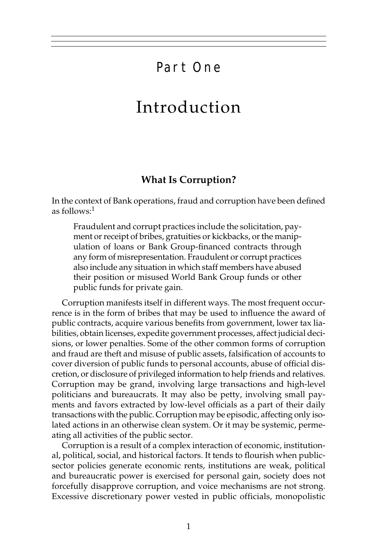## Part One

## Introduction

#### **What Is Corruption?**

In the context of Bank operations, fraud and corruption have been defined as follows:1

Fraudulent and corrupt practices include the solicitation, payment or receipt of bribes, gratuities or kickbacks, or the manipulation of loans or Bank Group-financed contracts through any form of misrepresentation. Fraudulent or corrupt practices also include any situation in which staff members have abused their position or misused World Bank Group funds or other public funds for private gain.

Corruption manifests itself in different ways. The most frequent occurrence is in the form of bribes that may be used to influence the award of public contracts, acquire various benefits from government, lower tax liabilities, obtain licenses, expedite government processes, affect judicial decisions, or lower penalties. Some of the other common forms of corruption and fraud are theft and misuse of public assets, falsification of accounts to cover diversion of public funds to personal accounts, abuse of official discretion, or disclosure of privileged information to help friends and relatives. Corruption may be grand, involving large transactions and high-level politicians and bureaucrats. It may also be petty, involving small payments and favors extracted by low-level officials as a part of their daily transactions with the public. Corruption may be episodic, affecting only isolated actions in an otherwise clean system. Or it may be systemic, permeating all activities of the public sector.

Corruption is a result of a complex interaction of economic, institutional, political, social, and historical factors. It tends to flourish when publicsector policies generate economic rents, institutions are weak, political and bureaucratic power is exercised for personal gain, society does not forcefully disapprove corruption, and voice mechanisms are not strong. Excessive discretionary power vested in public officials, monopolistic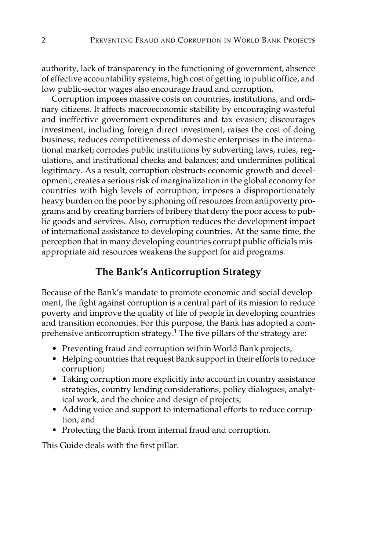authority, lack of transparency in the functioning of government, absence of effective accountability systems, high cost of getting to public office, and low public-sector wages also encourage fraud and corruption.

Corruption imposes massive costs on countries, institutions, and ordinary citizens. It affects macroeconomic stability by encouraging wasteful and ineffective government expenditures and tax evasion; discourages investment, including foreign direct investment; raises the cost of doing business; reduces competitiveness of domestic enterprises in the international market; corrodes public institutions by subverting laws, rules, regulations, and institutional checks and balances; and undermines political legitimacy. As a result, corruption obstructs economic growth and development; creates a serious risk of marginalization in the global economy for countries with high levels of corruption; imposes a disproportionately heavy burden on the poor by siphoning off resources from antipoverty programs and by creating barriers of bribery that deny the poor access to public goods and services. Also, corruption reduces the development impact of international assistance to developing countries. At the same time, the perception that in many developing countries corrupt public officials misappropriate aid resources weakens the support for aid programs.

#### **The Bank's Anticorruption Strategy**

Because of the Bank's mandate to promote economic and social development, the fight against corruption is a central part of its mission to reduce poverty and improve the quality of life of people in developing countries and transition economies. For this purpose, the Bank has adopted a comprehensive anticorruption strategy.<sup>1</sup> The five pillars of the strategy are:

- Preventing fraud and corruption within World Bank projects;
- Helping countries that request Bank support in their efforts to reduce corruption;
- Taking corruption more explicitly into account in country assistance strategies, country lending considerations, policy dialogues, analytical work, and the choice and design of projects;
- Adding voice and support to international efforts to reduce corruption; and
- Protecting the Bank from internal fraud and corruption.

This Guide deals with the first pillar.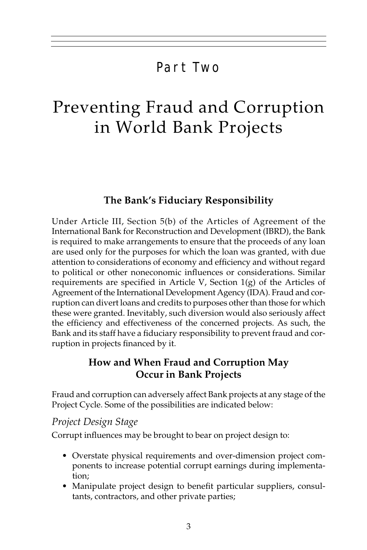## Part Two

## Preventing Fraud and Corruption in World Bank Projects

### **The Bank's Fiduciary Responsibility**

Under Article III, Section 5(b) of the Articles of Agreement of the International Bank for Reconstruction and Development (IBRD), the Bank is required to make arrangements to ensure that the proceeds of any loan are used only for the purposes for which the loan was granted, with due attention to considerations of economy and efficiency and without regard to political or other noneconomic influences or considerations. Similar requirements are specified in Article V, Section  $1(g)$  of the Articles of Agreement of the International Development Agency (IDA). Fraud and corruption can divert loans and credits to purposes other than those for which these were granted. Inevitably, such diversion would also seriously affect the efficiency and effectiveness of the concerned projects. As such, the Bank and its staff have a fiduciary responsibility to prevent fraud and corruption in projects financed by it.

### **How and When Fraud and Corruption May Occur in Bank Projects**

Fraud and corruption can adversely affect Bank projects at any stage of the Project Cycle. Some of the possibilities are indicated below:

#### *Project Design Stage*

Corrupt influences may be brought to bear on project design to:

- Overstate physical requirements and over-dimension project components to increase potential corrupt earnings during implementation;
- Manipulate project design to benefit particular suppliers, consultants, contractors, and other private parties;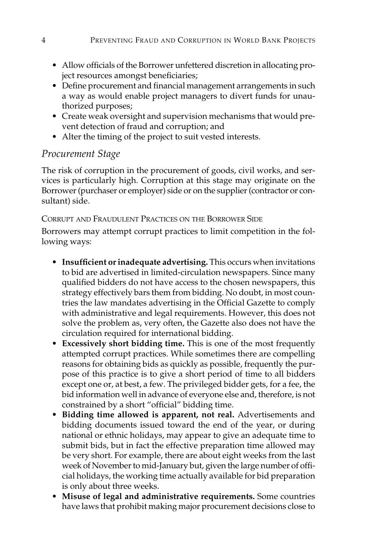- Allow officials of the Borrower unfettered discretion in allocating project resources amongst beneficiaries;
- Define procurement and financial management arrangements in such a way as would enable project managers to divert funds for unauthorized purposes;
- Create weak oversight and supervision mechanisms that would prevent detection of fraud and corruption; and
- Alter the timing of the project to suit vested interests.

## *Procurement Stage*

The risk of corruption in the procurement of goods, civil works, and services is particularly high. Corruption at this stage may originate on the Borrower (purchaser or employer) side or on the supplier (contractor or consultant) side.

#### CORRUPT AND FRAUDULENT PRACTICES ON THE BORROWER SIDE

Borrowers may attempt corrupt practices to limit competition in the following ways:

- **Insufficient or inadequate advertising.** This occurs when invitations to bid are advertised in limited-circulation newspapers. Since many qualified bidders do not have access to the chosen newspapers, this strategy effectively bars them from bidding. No doubt, in most countries the law mandates advertising in the Official Gazette to comply with administrative and legal requirements. However, this does not solve the problem as, very often, the Gazette also does not have the circulation required for international bidding.
- **Excessively short bidding time.** This is one of the most frequently attempted corrupt practices. While sometimes there are compelling reasons for obtaining bids as quickly as possible, frequently the purpose of this practice is to give a short period of time to all bidders except one or, at best, a few. The privileged bidder gets, for a fee, the bid information well in advance of everyone else and, therefore, is not constrained by a short "official" bidding time.
- **Bidding time allowed is apparent, not real.** Advertisements and bidding documents issued toward the end of the year, or during national or ethnic holidays, may appear to give an adequate time to submit bids, but in fact the effective preparation time allowed may be very short. For example, there are about eight weeks from the last week of November to mid-January but, given the large number of official holidays, the working time actually available for bid preparation is only about three weeks.
- **Misuse of legal and administrative requirements.** Some countries have laws that prohibit making major procurement decisions close to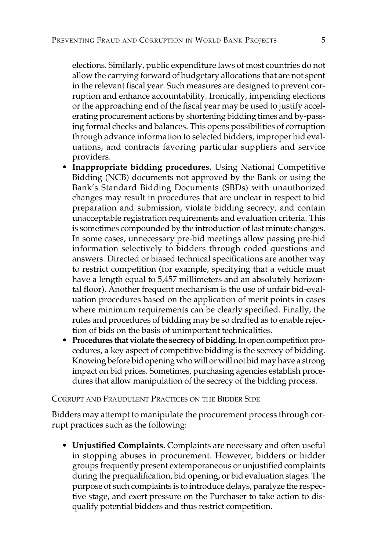elections. Similarly, public expenditure laws of most countries do not allow the carrying forward of budgetary allocations that are not spent in the relevant fiscal year. Such measures are designed to prevent corruption and enhance accountability. Ironically, impending elections or the approaching end of the fiscal year may be used to justify accelerating procurement actions by shortening bidding times and by-passing formal checks and balances. This opens possibilities of corruption through advance information to selected bidders, improper bid evaluations, and contracts favoring particular suppliers and service providers.

- **Inappropriate bidding procedures.** Using National Competitive Bidding (NCB) documents not approved by the Bank or using the Bank's Standard Bidding Documents (SBDs) with unauthorized changes may result in procedures that are unclear in respect to bid preparation and submission, violate bidding secrecy, and contain unacceptable registration requirements and evaluation criteria. This is sometimes compounded by the introduction of last minute changes. In some cases, unnecessary pre-bid meetings allow passing pre-bid information selectively to bidders through coded questions and answers. Directed or biased technical specifications are another way to restrict competition (for example, specifying that a vehicle must have a length equal to 5,457 millimeters and an absolutely horizontal floor). Another frequent mechanism is the use of unfair bid-evaluation procedures based on the application of merit points in cases where minimum requirements can be clearly specified. Finally, the rules and procedures of bidding may be so drafted as to enable rejection of bids on the basis of unimportant technicalities.
- **Procedures that violate the secrecy of bidding.** In open competition procedures, a key aspect of competitive bidding is the secrecy of bidding. Knowing before bid opening who will or will not bid may have a strong impact on bid prices. Sometimes, purchasing agencies establish procedures that allow manipulation of the secrecy of the bidding process.

CORRUPT AND FRAUDULENT PRACTICES ON THE BIDDER SIDE

Bidders may attempt to manipulate the procurement process through corrupt practices such as the following:

• **Unjustified Complaints.** Complaints are necessary and often useful in stopping abuses in procurement. However, bidders or bidder groups frequently present extemporaneous or unjustified complaints during the prequalification, bid opening, or bid evaluation stages. The purpose of such complaints is to introduce delays, paralyze the respective stage, and exert pressure on the Purchaser to take action to disqualify potential bidders and thus restrict competition.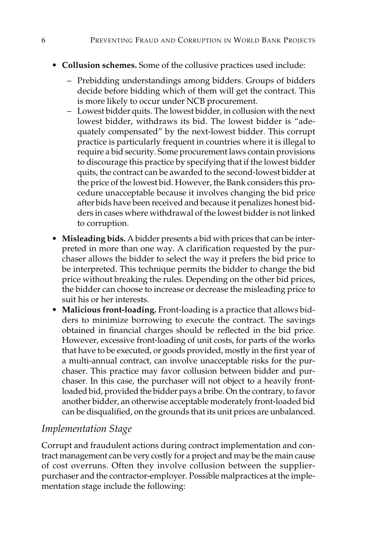- **Collusion schemes.** Some of the collusive practices used include:
	- Prebidding understandings among bidders. Groups of bidders decide before bidding which of them will get the contract. This is more likely to occur under NCB procurement.
	- Lowest bidder quits. The lowest bidder, in collusion with the next lowest bidder, withdraws its bid. The lowest bidder is "adequately compensated" by the next-lowest bidder. This corrupt practice is particularly frequent in countries where it is illegal to require a bid security. Some procurement laws contain provisions to discourage this practice by specifying that if the lowest bidder quits, the contract can be awarded to the second-lowest bidder at the price of the lowest bid. However, the Bank considers this procedure unacceptable because it involves changing the bid price after bids have been received and because it penalizes honest bidders in cases where withdrawal of the lowest bidder is not linked to corruption.
- **Misleading bids.** A bidder presents a bid with prices that can be interpreted in more than one way. A clarification requested by the purchaser allows the bidder to select the way it prefers the bid price to be interpreted. This technique permits the bidder to change the bid price without breaking the rules. Depending on the other bid prices, the bidder can choose to increase or decrease the misleading price to suit his or her interests.
- **Malicious front-loading.** Front-loading is a practice that allows bidders to minimize borrowing to execute the contract. The savings obtained in financial charges should be reflected in the bid price. However, excessive front-loading of unit costs, for parts of the works that have to be executed, or goods provided, mostly in the first year of a multi-annual contract, can involve unacceptable risks for the purchaser. This practice may favor collusion between bidder and purchaser. In this case, the purchaser will not object to a heavily frontloaded bid, provided the bidder pays a bribe. On the contrary, to favor another bidder, an otherwise acceptable moderately front-loaded bid can be disqualified, on the grounds that its unit prices are unbalanced.

### *Implementation Stage*

Corrupt and fraudulent actions during contract implementation and contract management can be very costly for a project and may be the main cause of cost overruns. Often they involve collusion between the supplierpurchaser and the contractor-employer. Possible malpractices at the implementation stage include the following: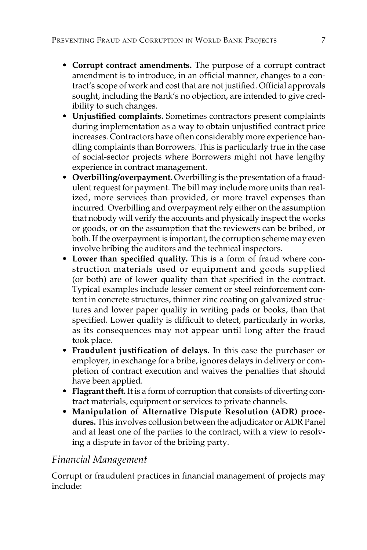- **Corrupt contract amendments.** The purpose of a corrupt contract amendment is to introduce, in an official manner, changes to a contract's scope of work and cost that are not justified. Official approvals sought, including the Bank's no objection, are intended to give credibility to such changes.
- **Unjustified complaints.** Sometimes contractors present complaints during implementation as a way to obtain unjustified contract price increases. Contractors have often considerably more experience handling complaints than Borrowers. This is particularly true in the case of social-sector projects where Borrowers might not have lengthy experience in contract management.
- **Overbilling/overpayment.** Overbilling is the presentation of a fraudulent request for payment. The bill may include more units than realized, more services than provided, or more travel expenses than incurred. Overbilling and overpayment rely either on the assumption that nobody will verify the accounts and physically inspect the works or goods, or on the assumption that the reviewers can be bribed, or both. If the overpayment is important, the corruption scheme may even involve bribing the auditors and the technical inspectors.
- **Lower than specified quality.** This is a form of fraud where construction materials used or equipment and goods supplied (or both) are of lower quality than that specified in the contract. Typical examples include lesser cement or steel reinforcement content in concrete structures, thinner zinc coating on galvanized structures and lower paper quality in writing pads or books, than that specified. Lower quality is difficult to detect, particularly in works, as its consequences may not appear until long after the fraud took place.
- **Fraudulent justification of delays.** In this case the purchaser or employer, in exchange for a bribe, ignores delays in delivery or completion of contract execution and waives the penalties that should have been applied.
- **Flagrant theft.** It is a form of corruption that consists of diverting contract materials, equipment or services to private channels.
- **Manipulation of Alternative Dispute Resolution (ADR) procedures.** This involves collusion between the adjudicator or ADR Panel and at least one of the parties to the contract, with a view to resolving a dispute in favor of the bribing party.

### *Financial Management*

Corrupt or fraudulent practices in financial management of projects may include: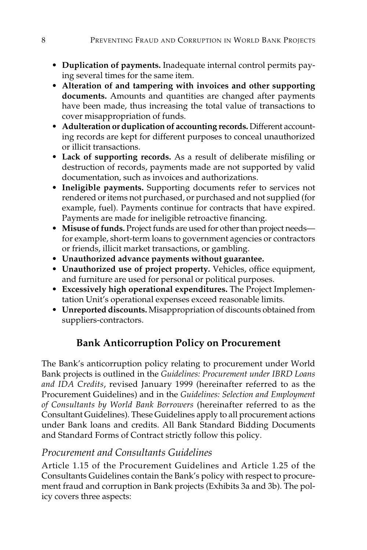- **Duplication of payments.** Inadequate internal control permits paying several times for the same item.
- **Alteration of and tampering with invoices and other supporting documents.** Amounts and quantities are changed after payments have been made, thus increasing the total value of transactions to cover misappropriation of funds.
- **Adulteration or duplication of accounting records.** Different accounting records are kept for different purposes to conceal unauthorized or illicit transactions.
- **Lack of supporting records.** As a result of deliberate misfiling or destruction of records, payments made are not supported by valid documentation, such as invoices and authorizations.
- **Ineligible payments.** Supporting documents refer to services not rendered or items not purchased, or purchased and not supplied (for example, fuel). Payments continue for contracts that have expired. Payments are made for ineligible retroactive financing.
- **Misuse of funds.** Project funds are used for other than project needs for example, short-term loans to government agencies or contractors or friends, illicit market transactions, or gambling.
- **Unauthorized advance payments without guarantee.**
- **Unauthorized use of project property.** Vehicles, office equipment, and furniture are used for personal or political purposes.
- **Excessively high operational expenditures.** The Project Implementation Unit's operational expenses exceed reasonable limits.
- **Unreported discounts.** Misappropriation of discounts obtained from suppliers-contractors.

## **Bank Anticorruption Policy on Procurement**

The Bank's anticorruption policy relating to procurement under World Bank projects is outlined in the *Guidelines: Procurement under IBRD Loans and IDA Credits*, revised January 1999 (hereinafter referred to as the Procurement Guidelines) and in the *Guidelines: Selection and Employment of Consultants by World Bank Borrowers* (hereinafter referred to as the Consultant Guidelines). These Guidelines apply to all procurement actions under Bank loans and credits. All Bank Standard Bidding Documents and Standard Forms of Contract strictly follow this policy.

## *Procurement and Consultants Guidelines*

Article 1.15 of the Procurement Guidelines and Article 1.25 of the Consultants Guidelines contain the Bank's policy with respect to procurement fraud and corruption in Bank projects (Exhibits 3a and 3b). The policy covers three aspects: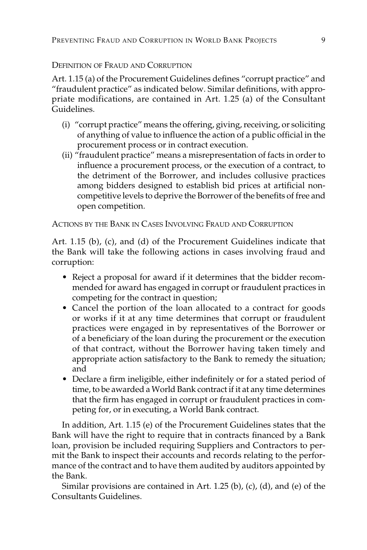#### DEFINITION OF FRAUD AND CORRUPTION

Art. 1.15 (a) of the Procurement Guidelines defines "corrupt practice" and "fraudulent practice" as indicated below. Similar definitions, with appropriate modifications, are contained in Art. 1.25 (a) of the Consultant Guidelines.

- (i) "corrupt practice" means the offering, giving, receiving, or soliciting of anything of value to influence the action of a public official in the procurement process or in contract execution.
- (ii) "fraudulent practice" means a misrepresentation of facts in order to influence a procurement process, or the execution of a contract, to the detriment of the Borrower, and includes collusive practices among bidders designed to establish bid prices at artificial noncompetitive levels to deprive the Borrower of the benefits of free and open competition.

ACTIONS BY THE BANK IN CASES INVOLVING FRAUD AND CORRUPTION

Art. 1.15 (b), (c), and (d) of the Procurement Guidelines indicate that the Bank will take the following actions in cases involving fraud and corruption:

- Reject a proposal for award if it determines that the bidder recommended for award has engaged in corrupt or fraudulent practices in competing for the contract in question;
- Cancel the portion of the loan allocated to a contract for goods or works if it at any time determines that corrupt or fraudulent practices were engaged in by representatives of the Borrower or of a beneficiary of the loan during the procurement or the execution of that contract, without the Borrower having taken timely and appropriate action satisfactory to the Bank to remedy the situation; and
- Declare a firm ineligible, either indefinitely or for a stated period of time, to be awarded a World Bank contract if it at any time determines that the firm has engaged in corrupt or fraudulent practices in competing for, or in executing, a World Bank contract.

In addition, Art. 1.15 (e) of the Procurement Guidelines states that the Bank will have the right to require that in contracts financed by a Bank loan, provision be included requiring Suppliers and Contractors to permit the Bank to inspect their accounts and records relating to the performance of the contract and to have them audited by auditors appointed by the Bank.

Similar provisions are contained in Art. 1.25 (b), (c), (d), and (e) of the Consultants Guidelines.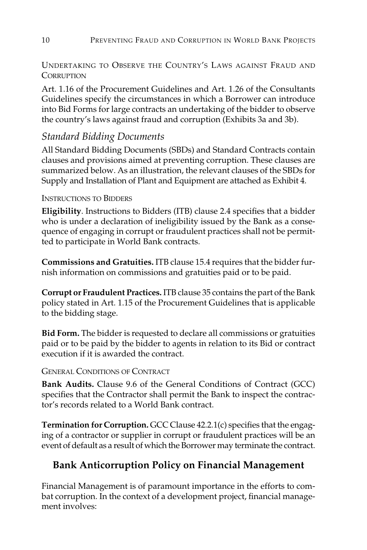UNDERTAKING TO OBSERVE THE COUNTRY'S LAWS AGAINST FRAUD AND **CORRUPTION** 

Art. 1.16 of the Procurement Guidelines and Art. 1.26 of the Consultants Guidelines specify the circumstances in which a Borrower can introduce into Bid Forms for large contracts an undertaking of the bidder to observe the country's laws against fraud and corruption (Exhibits 3a and 3b).

### *Standard Bidding Documents*

All Standard Bidding Documents (SBDs) and Standard Contracts contain clauses and provisions aimed at preventing corruption. These clauses are summarized below. As an illustration, the relevant clauses of the SBDs for Supply and Installation of Plant and Equipment are attached as Exhibit 4.

#### INSTRUCTIONS TO BIDDERS

**Eligibility**. Instructions to Bidders (ITB) clause 2.4 specifies that a bidder who is under a declaration of ineligibility issued by the Bank as a consequence of engaging in corrupt or fraudulent practices shall not be permitted to participate in World Bank contracts.

**Commissions and Gratuities.** ITB clause 15.4 requires that the bidder furnish information on commissions and gratuities paid or to be paid.

**Corrupt or Fraudulent Practices.** ITB clause 35 contains the part of the Bank policy stated in Art. 1.15 of the Procurement Guidelines that is applicable to the bidding stage.

**Bid Form.** The bidder is requested to declare all commissions or gratuities paid or to be paid by the bidder to agents in relation to its Bid or contract execution if it is awarded the contract.

#### GENERAL CONDITIONS OF CONTRACT

**Bank Audits.** Clause 9.6 of the General Conditions of Contract (GCC) specifies that the Contractor shall permit the Bank to inspect the contractor's records related to a World Bank contract.

**Termination for Corruption.** GCC Clause 42.2.1(c) specifies that the engaging of a contractor or supplier in corrupt or fraudulent practices will be an event of default as a result of which the Borrower may terminate the contract.

## **Bank Anticorruption Policy on Financial Management**

Financial Management is of paramount importance in the efforts to combat corruption. In the context of a development project, financial management involves: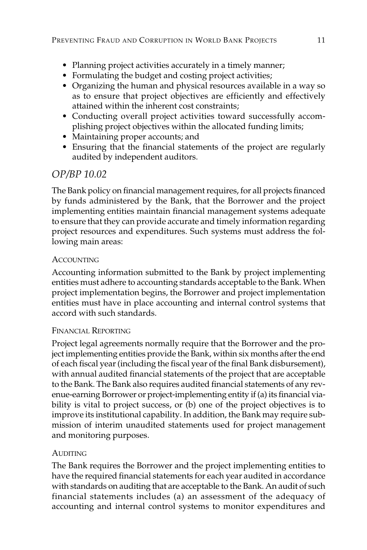- Planning project activities accurately in a timely manner;
- Formulating the budget and costing project activities;
- Organizing the human and physical resources available in a way so as to ensure that project objectives are efficiently and effectively attained within the inherent cost constraints;
- Conducting overall project activities toward successfully accomplishing project objectives within the allocated funding limits;
- Maintaining proper accounts; and
- Ensuring that the financial statements of the project are regularly audited by independent auditors.

### *OP/BP 10.02*

The Bank policy on financial management requires, for all projects financed by funds administered by the Bank, that the Borrower and the project implementing entities maintain financial management systems adequate to ensure that they can provide accurate and timely information regarding project resources and expenditures. Such systems must address the following main areas:

#### **ACCOUNTING**

Accounting information submitted to the Bank by project implementing entities must adhere to accounting standards acceptable to the Bank. When project implementation begins, the Borrower and project implementation entities must have in place accounting and internal control systems that accord with such standards.

#### FINANCIAL REPORTING

Project legal agreements normally require that the Borrower and the project implementing entities provide the Bank, within six months after the end of each fiscal year (including the fiscal year of the final Bank disbursement), with annual audited financial statements of the project that are acceptable to the Bank. The Bank also requires audited financial statements of any revenue-earning Borrower or project-implementing entity if (a) its financial viability is vital to project success, or (b) one of the project objectives is to improve its institutional capability. In addition, the Bank may require submission of interim unaudited statements used for project management and monitoring purposes.

#### **AUDITING**

The Bank requires the Borrower and the project implementing entities to have the required financial statements for each year audited in accordance with standards on auditing that are acceptable to the Bank. An audit of such financial statements includes (a) an assessment of the adequacy of accounting and internal control systems to monitor expenditures and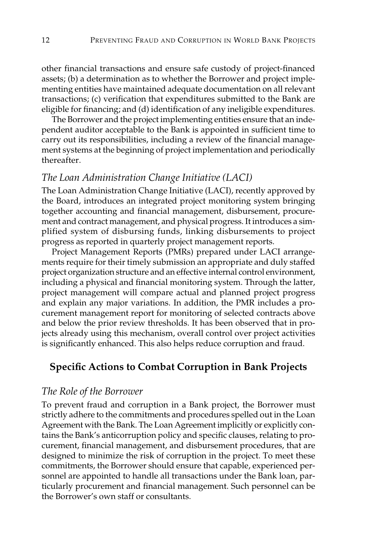other financial transactions and ensure safe custody of project-financed assets; (b) a determination as to whether the Borrower and project implementing entities have maintained adequate documentation on all relevant transactions; (c) verification that expenditures submitted to the Bank are eligible for financing; and (d) identification of any ineligible expenditures.

The Borrower and the project implementing entities ensure that an independent auditor acceptable to the Bank is appointed in sufficient time to carry out its responsibilities, including a review of the financial management systems at the beginning of project implementation and periodically thereafter.

#### *The Loan Administration Change Initiative (LACI)*

The Loan Administration Change Initiative (LACI), recently approved by the Board, introduces an integrated project monitoring system bringing together accounting and financial management, disbursement, procurement and contract management, and physical progress. It introduces a simplified system of disbursing funds, linking disbursements to project progress as reported in quarterly project management reports.

Project Management Reports (PMRs) prepared under LACI arrangements require for their timely submission an appropriate and duly staffed project organization structure and an effective internal control environment, including a physical and financial monitoring system. Through the latter, project management will compare actual and planned project progress and explain any major variations. In addition, the PMR includes a procurement management report for monitoring of selected contracts above and below the prior review thresholds. It has been observed that in projects already using this mechanism, overall control over project activities is significantly enhanced. This also helps reduce corruption and fraud.

### **Specific Actions to Combat Corruption in Bank Projects**

### *The Role of the Borrower*

To prevent fraud and corruption in a Bank project, the Borrower must strictly adhere to the commitments and procedures spelled out in the Loan Agreement with the Bank. The Loan Agreement implicitly or explicitly contains the Bank's anticorruption policy and specific clauses, relating to procurement, financial management, and disbursement procedures, that are designed to minimize the risk of corruption in the project. To meet these commitments, the Borrower should ensure that capable, experienced personnel are appointed to handle all transactions under the Bank loan, particularly procurement and financial management. Such personnel can be the Borrower's own staff or consultants.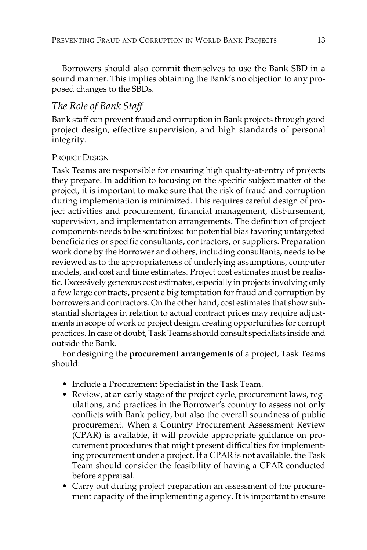Borrowers should also commit themselves to use the Bank SBD in a sound manner. This implies obtaining the Bank's no objection to any proposed changes to the SBDs.

## *The Role of Bank Staff*

Bank staff can prevent fraud and corruption in Bank projects through good project design, effective supervision, and high standards of personal integrity.

#### PROJECT DESIGN

Task Teams are responsible for ensuring high quality-at-entry of projects they prepare. In addition to focusing on the specific subject matter of the project, it is important to make sure that the risk of fraud and corruption during implementation is minimized. This requires careful design of project activities and procurement, financial management, disbursement, supervision, and implementation arrangements. The definition of project components needs to be scrutinized for potential bias favoring untargeted beneficiaries or specific consultants, contractors, or suppliers. Preparation work done by the Borrower and others, including consultants, needs to be reviewed as to the appropriateness of underlying assumptions, computer models, and cost and time estimates. Project cost estimates must be realistic. Excessively generous cost estimates, especially in projects involving only a few large contracts, present a big temptation for fraud and corruption by borrowers and contractors. On the other hand, cost estimates that show substantial shortages in relation to actual contract prices may require adjustments in scope of work or project design, creating opportunities for corrupt practices. In case of doubt, Task Teams should consult specialists inside and outside the Bank.

For designing the **procurement arrangements** of a project, Task Teams should:

- Include a Procurement Specialist in the Task Team.
- Review, at an early stage of the project cycle, procurement laws, regulations, and practices in the Borrower's country to assess not only conflicts with Bank policy, but also the overall soundness of public procurement. When a Country Procurement Assessment Review (CPAR) is available, it will provide appropriate guidance on procurement procedures that might present difficulties for implementing procurement under a project. If a CPAR is not available, the Task Team should consider the feasibility of having a CPAR conducted before appraisal.
- Carry out during project preparation an assessment of the procurement capacity of the implementing agency. It is important to ensure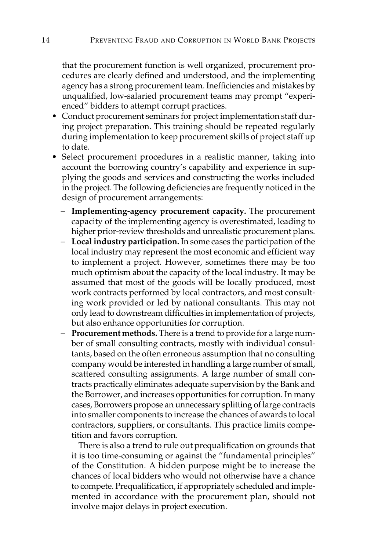that the procurement function is well organized, procurement procedures are clearly defined and understood, and the implementing agency has a strong procurement team. Inefficiencies and mistakes by unqualified, low-salaried procurement teams may prompt "experienced" bidders to attempt corrupt practices.

- Conduct procurement seminars for project implementation staff during project preparation. This training should be repeated regularly during implementation to keep procurement skills of project staff up to date.
- Select procurement procedures in a realistic manner, taking into account the borrowing country's capability and experience in supplying the goods and services and constructing the works included in the project. The following deficiencies are frequently noticed in the design of procurement arrangements:
	- **Implementing-agency procurement capacity.** The procurement capacity of the implementing agency is overestimated, leading to higher prior-review thresholds and unrealistic procurement plans.
	- **Local industry participation.** In some cases the participation of the local industry may represent the most economic and efficient way to implement a project. However, sometimes there may be too much optimism about the capacity of the local industry. It may be assumed that most of the goods will be locally produced, most work contracts performed by local contractors, and most consulting work provided or led by national consultants. This may not only lead to downstream difficulties in implementation of projects, but also enhance opportunities for corruption.
	- **Procurement methods.** There is a trend to provide for a large number of small consulting contracts, mostly with individual consultants, based on the often erroneous assumption that no consulting company would be interested in handling a large number of small, scattered consulting assignments. A large number of small contracts practically eliminates adequate supervision by the Bank and the Borrower, and increases opportunities for corruption. In many cases, Borrowers propose an unnecessary splitting of large contracts into smaller components to increase the chances of awards to local contractors, suppliers, or consultants. This practice limits competition and favors corruption.

There is also a trend to rule out prequalification on grounds that it is too time-consuming or against the "fundamental principles" of the Constitution. A hidden purpose might be to increase the chances of local bidders who would not otherwise have a chance to compete. Prequalification, if appropriately scheduled and implemented in accordance with the procurement plan, should not involve major delays in project execution.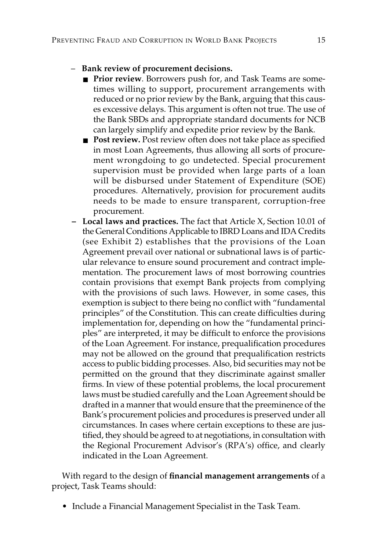#### – **Bank review of procurement decisions.**

- **Prior review**. Borrowers push for, and Task Teams are sometimes willing to support, procurement arrangements with reduced or no prior review by the Bank, arguing that this causes excessive delays. This argument is often not true. The use of the Bank SBDs and appropriate standard documents for NCB can largely simplify and expedite prior review by the Bank.
- **Post review.** Post review often does not take place as specified in most Loan Agreements, thus allowing all sorts of procurement wrongdoing to go undetected. Special procurement supervision must be provided when large parts of a loan will be disbursed under Statement of Expenditure (SOE) procedures. Alternatively, provision for procurement audits needs to be made to ensure transparent, corruption-free procurement.
- **Local laws and practices.** The fact that Article X, Section 10.01 of the General Conditions Applicable to IBRD Loans and IDA Credits (see Exhibit 2) establishes that the provisions of the Loan Agreement prevail over national or subnational laws is of particular relevance to ensure sound procurement and contract implementation. The procurement laws of most borrowing countries contain provisions that exempt Bank projects from complying with the provisions of such laws. However, in some cases, this exemption is subject to there being no conflict with "fundamental principles" of the Constitution. This can create difficulties during implementation for, depending on how the "fundamental principles" are interpreted, it may be difficult to enforce the provisions of the Loan Agreement. For instance, prequalification procedures may not be allowed on the ground that prequalification restricts access to public bidding processes. Also, bid securities may not be permitted on the ground that they discriminate against smaller firms. In view of these potential problems, the local procurement laws must be studied carefully and the Loan Agreement should be drafted in a manner that would ensure that the preeminence of the Bank's procurement policies and procedures is preserved under all circumstances. In cases where certain exceptions to these are justified, they should be agreed to at negotiations, in consultation with the Regional Procurement Advisor's (RPA's) office, and clearly indicated in the Loan Agreement.

With regard to the design of **financial management arrangements** of a project, Task Teams should:

• Include a Financial Management Specialist in the Task Team.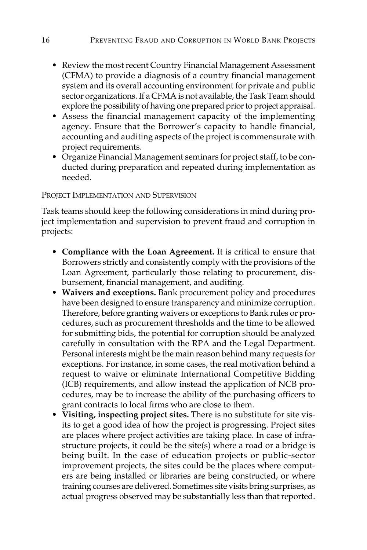- Review the most recent Country Financial Management Assessment (CFMA) to provide a diagnosis of a country financial management system and its overall accounting environment for private and public sector organizations. If a CFMA is not available, the Task Team should explore the possibility of having one prepared prior to project appraisal.
- Assess the financial management capacity of the implementing agency. Ensure that the Borrower's capacity to handle financial, accounting and auditing aspects of the project is commensurate with project requirements.
- Organize Financial Management seminars for project staff, to be conducted during preparation and repeated during implementation as needed.

#### PROJECT IMPLEMENTATION AND SUPERVISION

Task teams should keep the following considerations in mind during project implementation and supervision to prevent fraud and corruption in projects:

- **Compliance with the Loan Agreement.** It is critical to ensure that Borrowers strictly and consistently comply with the provisions of the Loan Agreement, particularly those relating to procurement, disbursement, financial management, and auditing.
- **Waivers and exceptions.** Bank procurement policy and procedures have been designed to ensure transparency and minimize corruption. Therefore, before granting waivers or exceptions to Bank rules or procedures, such as procurement thresholds and the time to be allowed for submitting bids, the potential for corruption should be analyzed carefully in consultation with the RPA and the Legal Department. Personal interests might be the main reason behind many requests for exceptions. For instance, in some cases, the real motivation behind a request to waive or eliminate International Competitive Bidding (ICB) requirements, and allow instead the application of NCB procedures, may be to increase the ability of the purchasing officers to grant contracts to local firms who are close to them.
- **Visiting, inspecting project sites.** There is no substitute for site visits to get a good idea of how the project is progressing. Project sites are places where project activities are taking place. In case of infrastructure projects, it could be the site(s) where a road or a bridge is being built. In the case of education projects or public-sector improvement projects, the sites could be the places where computers are being installed or libraries are being constructed, or where training courses are delivered. Sometimes site visits bring surprises, as actual progress observed may be substantially less than that reported.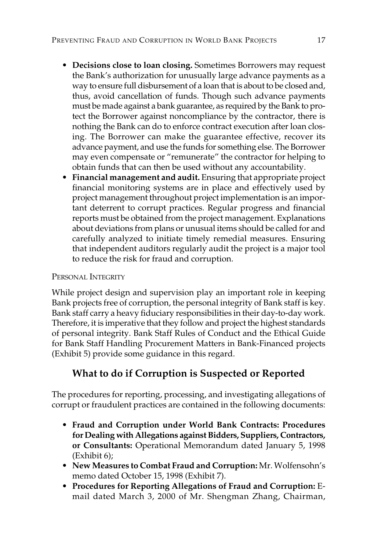- **Decisions close to loan closing.** Sometimes Borrowers may request the Bank's authorization for unusually large advance payments as a way to ensure full disbursement of a loan that is about to be closed and, thus, avoid cancellation of funds. Though such advance payments must be made against a bank guarantee, as required by the Bank to protect the Borrower against noncompliance by the contractor, there is nothing the Bank can do to enforce contract execution after loan closing. The Borrower can make the guarantee effective, recover its advance payment, and use the funds for something else. The Borrower may even compensate or "remunerate" the contractor for helping to obtain funds that can then be used without any accountability.
- **Financial management and audit.** Ensuring that appropriate project financial monitoring systems are in place and effectively used by project management throughout project implementation is an important deterrent to corrupt practices. Regular progress and financial reports must be obtained from the project management. Explanations about deviations from plans or unusual items should be called for and carefully analyzed to initiate timely remedial measures. Ensuring that independent auditors regularly audit the project is a major tool to reduce the risk for fraud and corruption.

#### PERSONAL INTEGRITY

While project design and supervision play an important role in keeping Bank projects free of corruption, the personal integrity of Bank staff is key. Bank staff carry a heavy fiduciary responsibilities in their day-to-day work. Therefore, it is imperative that they follow and project the highest standards of personal integrity. Bank Staff Rules of Conduct and the Ethical Guide for Bank Staff Handling Procurement Matters in Bank-Financed projects (Exhibit 5) provide some guidance in this regard.

## **What to do if Corruption is Suspected or Reported**

The procedures for reporting, processing, and investigating allegations of corrupt or fraudulent practices are contained in the following documents:

- **Fraud and Corruption under World Bank Contracts: Procedures for Dealing with Allegations against Bidders, Suppliers, Contractors, or Consultants:** Operational Memorandum dated January 5, 1998 (Exhibit 6);
- **New Measures to Combat Fraud and Corruption:** Mr. Wolfensohn's memo dated October 15, 1998 (Exhibit 7).
- **Procedures for Reporting Allegations of Fraud and Corruption:** Email dated March 3, 2000 of Mr. Shengman Zhang, Chairman,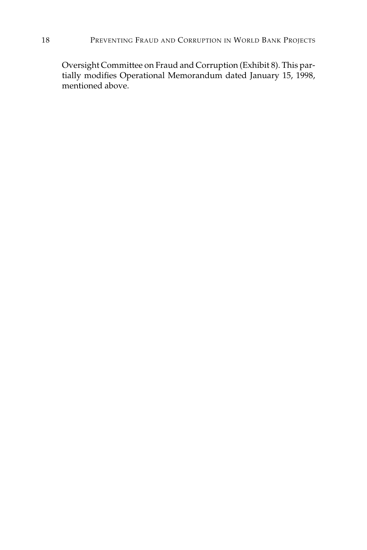Oversight Committee on Fraud and Corruption (Exhibit 8). This partially modifies Operational Memorandum dated January 15, 1998, mentioned above.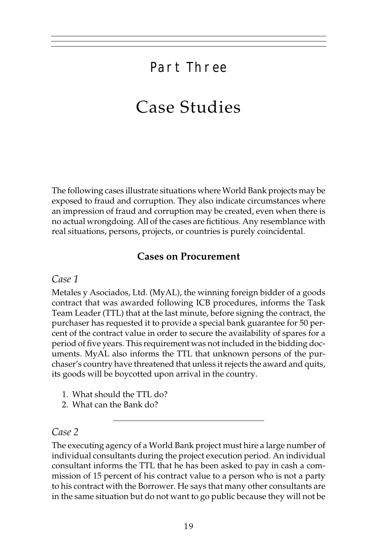## Part Three

## Case Studies

The following cases illustrate situations where World Bank projects may be exposed to fraud and corruption. They also indicate circumstances where an impression of fraud and corruption may be created, even when there is no actual wrongdoing. All of the cases are fictitious. Any resemblance with real situations, persons, projects, or countries is purely coincidental.

### **Cases on Procurement**

*Case 1*

Metales y Asociados, Ltd. (MyAL), the winning foreign bidder of a goods contract that was awarded following ICB procedures, informs the Task Team Leader (TTL) that at the last minute, before signing the contract, the purchaser has requested it to provide a special bank guarantee for 50 percent of the contract value in order to secure the availability of spares for a period of five years. This requirement was not included in the bidding documents. MyAL also informs the TTL that unknown persons of the purchaser's country have threatened that unless it rejects the award and quits, its goods will be boycotted upon arrival in the country.

- 1. What should the TTL do?
- 2. What can the Bank do?

#### *Case 2*

The executing agency of a World Bank project must hire a large number of individual consultants during the project execution period. An individual consultant informs the TTL that he has been asked to pay in cash a commission of 15 percent of his contract value to a person who is not a party to his contract with the Borrower. He says that many other consultants are in the same situation but do not want to go public because they will not be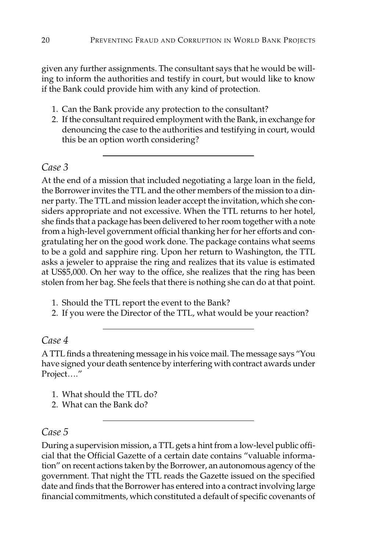given any further assignments. The consultant says that he would be willing to inform the authorities and testify in court, but would like to know if the Bank could provide him with any kind of protection.

- 1. Can the Bank provide any protection to the consultant?
- 2. If the consultant required employment with the Bank, in exchange for denouncing the case to the authorities and testifying in court, would this be an option worth considering?

### *Case 3*

At the end of a mission that included negotiating a large loan in the field, the Borrower invites the TTL and the other members of the mission to a dinner party. The TTL and mission leader accept the invitation, which she considers appropriate and not excessive. When the TTL returns to her hotel, she finds that a package has been delivered to her room together with a note from a high-level government official thanking her for her efforts and congratulating her on the good work done. The package contains what seems to be a gold and sapphire ring. Upon her return to Washington, the TTL asks a jeweler to appraise the ring and realizes that its value is estimated at US\$5,000. On her way to the office, she realizes that the ring has been stolen from her bag. She feels that there is nothing she can do at that point.

- 1. Should the TTL report the event to the Bank?
- 2. If you were the Director of the TTL, what would be your reaction?

### *Case 4*

A TTL finds a threatening message in his voice mail. The message says "You have signed your death sentence by interfering with contract awards under Project…."

- 1. What should the TTL do?
- 2. What can the Bank do?

### *Case 5*

During a supervision mission, a TTL gets a hint from a low-level public official that the Official Gazette of a certain date contains "valuable information" on recent actions taken by the Borrower, an autonomous agency of the government. That night the TTL reads the Gazette issued on the specified date and finds that the Borrower has entered into a contract involving large financial commitments, which constituted a default of specific covenants of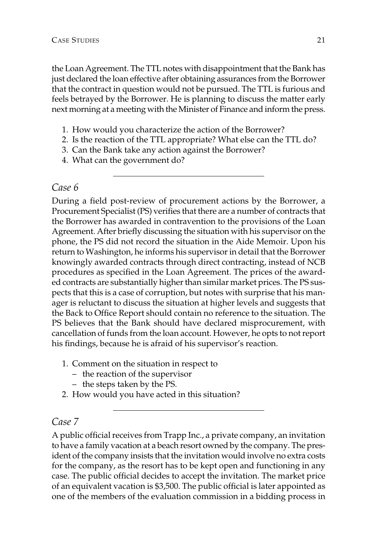the Loan Agreement. The TTL notes with disappointment that the Bank has just declared the loan effective after obtaining assurances from the Borrower that the contract in question would not be pursued. The TTL is furious and feels betrayed by the Borrower. He is planning to discuss the matter early next morning at a meeting with the Minister of Finance and inform the press.

- 1. How would you characterize the action of the Borrower?
- 2. Is the reaction of the TTL appropriate? What else can the TTL do?
- 3. Can the Bank take any action against the Borrower?
- 4. What can the government do?

#### *Case 6*

During a field post-review of procurement actions by the Borrower, a Procurement Specialist (PS) verifies that there are a number of contracts that the Borrower has awarded in contravention to the provisions of the Loan Agreement. After briefly discussing the situation with his supervisor on the phone, the PS did not record the situation in the Aide Memoir. Upon his return to Washington, he informs his supervisor in detail that the Borrower knowingly awarded contracts through direct contracting, instead of NCB procedures as specified in the Loan Agreement. The prices of the awarded contracts are substantially higher than similar market prices. The PS suspects that this is a case of corruption, but notes with surprise that his manager is reluctant to discuss the situation at higher levels and suggests that the Back to Office Report should contain no reference to the situation. The PS believes that the Bank should have declared misprocurement, with cancellation of funds from the loan account. However, he opts to not report his findings, because he is afraid of his supervisor's reaction.

- 1. Comment on the situation in respect to
	- the reaction of the supervisor
	- the steps taken by the PS.
- 2. How would you have acted in this situation?

### *Case 7*

A public official receives from Trapp Inc., a private company, an invitation to have a family vacation at a beach resort owned by the company. The president of the company insists that the invitation would involve no extra costs for the company, as the resort has to be kept open and functioning in any case. The public official decides to accept the invitation. The market price of an equivalent vacation is \$3,500. The public official is later appointed as one of the members of the evaluation commission in a bidding process in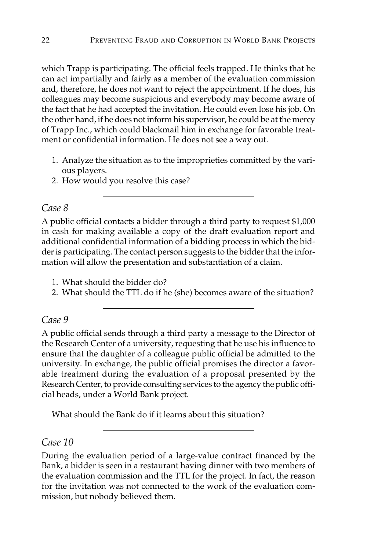which Trapp is participating. The official feels trapped. He thinks that he can act impartially and fairly as a member of the evaluation commission and, therefore, he does not want to reject the appointment. If he does, his colleagues may become suspicious and everybody may become aware of the fact that he had accepted the invitation. He could even lose his job. On the other hand, if he does not inform his supervisor, he could be at the mercy of Trapp Inc., which could blackmail him in exchange for favorable treatment or confidential information. He does not see a way out.

- 1. Analyze the situation as to the improprieties committed by the various players.
- 2. How would you resolve this case?

#### *Case 8*

A public official contacts a bidder through a third party to request \$1,000 in cash for making available a copy of the draft evaluation report and additional confidential information of a bidding process in which the bidder is participating. The contact person suggests to the bidder that the information will allow the presentation and substantiation of a claim.

- 1. What should the bidder do?
- 2. What should the TTL do if he (she) becomes aware of the situation?

#### *Case 9*

A public official sends through a third party a message to the Director of the Research Center of a university, requesting that he use his influence to ensure that the daughter of a colleague public official be admitted to the university. In exchange, the public official promises the director a favorable treatment during the evaluation of a proposal presented by the Research Center, to provide consulting services to the agency the public official heads, under a World Bank project.

What should the Bank do if it learns about this situation?

#### *Case 10*

During the evaluation period of a large-value contract financed by the Bank, a bidder is seen in a restaurant having dinner with two members of the evaluation commission and the TTL for the project. In fact, the reason for the invitation was not connected to the work of the evaluation commission, but nobody believed them.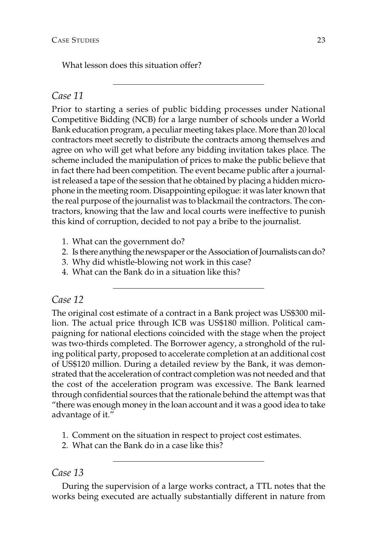What lesson does this situation offer?

#### *Case 11*

Prior to starting a series of public bidding processes under National Competitive Bidding (NCB) for a large number of schools under a World Bank education program, a peculiar meeting takes place. More than 20 local contractors meet secretly to distribute the contracts among themselves and agree on who will get what before any bidding invitation takes place. The scheme included the manipulation of prices to make the public believe that in fact there had been competition. The event became public after a journalist released a tape of the session that he obtained by placing a hidden microphone in the meeting room. Disappointing epilogue: it was later known that the real purpose of the journalist was to blackmail the contractors. The contractors, knowing that the law and local courts were ineffective to punish this kind of corruption, decided to not pay a bribe to the journalist.

- 1. What can the government do?
- 2. Is there anything the newspaper or the Association of Journalists can do?
- 3. Why did whistle-blowing not work in this case?
- 4. What can the Bank do in a situation like this?

#### *Case 12*

The original cost estimate of a contract in a Bank project was US\$300 million. The actual price through ICB was US\$180 million. Political campaigning for national elections coincided with the stage when the project was two-thirds completed. The Borrower agency, a stronghold of the ruling political party, proposed to accelerate completion at an additional cost of US\$120 million. During a detailed review by the Bank, it was demonstrated that the acceleration of contract completion was not needed and that the cost of the acceleration program was excessive. The Bank learned through confidential sources that the rationale behind the attempt was that "there was enough money in the loan account and it was a good idea to take advantage of it."

- 1. Comment on the situation in respect to project cost estimates.
- 2. What can the Bank do in a case like this?

#### *Case 13*

During the supervision of a large works contract, a TTL notes that the works being executed are actually substantially different in nature from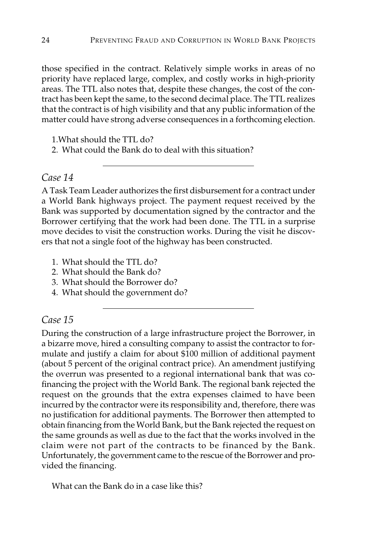those specified in the contract. Relatively simple works in areas of no priority have replaced large, complex, and costly works in high-priority areas. The TTL also notes that, despite these changes, the cost of the contract has been kept the same, to the second decimal place. The TTL realizes that the contract is of high visibility and that any public information of the matter could have strong adverse consequences in a forthcoming election.

1.What should the TTL do?

2. What could the Bank do to deal with this situation?

#### *Case 14*

A Task Team Leader authorizes the first disbursement for a contract under a World Bank highways project. The payment request received by the Bank was supported by documentation signed by the contractor and the Borrower certifying that the work had been done. The TTL in a surprise move decides to visit the construction works. During the visit he discovers that not a single foot of the highway has been constructed.

- 1. What should the TTL do?
- 2. What should the Bank do?
- 3. What should the Borrower do?
- 4. What should the government do?

#### *Case 15*

During the construction of a large infrastructure project the Borrower, in a bizarre move, hired a consulting company to assist the contractor to formulate and justify a claim for about \$100 million of additional payment (about 5 percent of the original contract price). An amendment justifying the overrun was presented to a regional international bank that was cofinancing the project with the World Bank. The regional bank rejected the request on the grounds that the extra expenses claimed to have been incurred by the contractor were its responsibility and, therefore, there was no justification for additional payments. The Borrower then attempted to obtain financing from the World Bank, but the Bank rejected the request on the same grounds as well as due to the fact that the works involved in the claim were not part of the contracts to be financed by the Bank. Unfortunately, the government came to the rescue of the Borrower and provided the financing.

What can the Bank do in a case like this?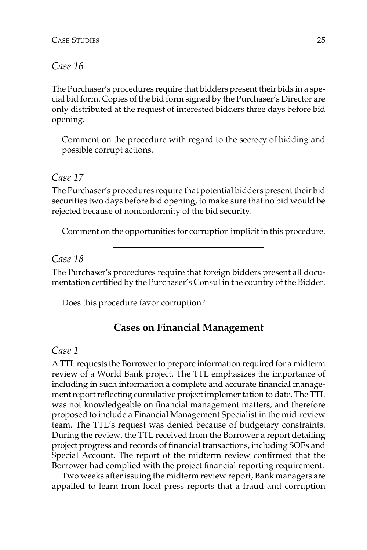#### *Case 16*

The Purchaser's procedures require that bidders present their bids in a special bid form. Copies of the bid form signed by the Purchaser's Director are only distributed at the request of interested bidders three days before bid opening.

Comment on the procedure with regard to the secrecy of bidding and possible corrupt actions.

#### *Case 17*

The Purchaser's procedures require that potential bidders present their bid securities two days before bid opening, to make sure that no bid would be rejected because of nonconformity of the bid security.

Comment on the opportunities for corruption implicit in this procedure.

#### *Case 18*

The Purchaser's procedures require that foreign bidders present all documentation certified by the Purchaser's Consul in the country of the Bidder.

Does this procedure favor corruption?

#### **Cases on Financial Management**

#### *Case 1*

A TTL requests the Borrower to prepare information required for a midterm review of a World Bank project. The TTL emphasizes the importance of including in such information a complete and accurate financial management report reflecting cumulative project implementation to date. The TTL was not knowledgeable on financial management matters, and therefore proposed to include a Financial Management Specialist in the mid-review team. The TTL's request was denied because of budgetary constraints. During the review, the TTL received from the Borrower a report detailing project progress and records of financial transactions, including SOEs and Special Account. The report of the midterm review confirmed that the Borrower had complied with the project financial reporting requirement.

Two weeks after issuing the midterm review report, Bank managers are appalled to learn from local press reports that a fraud and corruption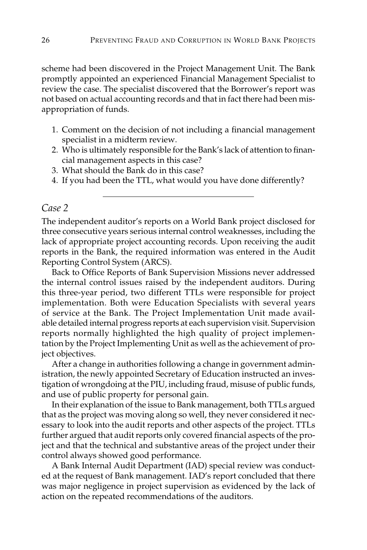scheme had been discovered in the Project Management Unit. The Bank promptly appointed an experienced Financial Management Specialist to review the case. The specialist discovered that the Borrower's report was not based on actual accounting records and that in fact there had been misappropriation of funds.

- 1. Comment on the decision of not including a financial management specialist in a midterm review.
- 2. Who is ultimately responsible for the Bank's lack of attention to financial management aspects in this case?
- 3. What should the Bank do in this case?
- 4. If you had been the TTL, what would you have done differently?

#### *Case 2*

The independent auditor's reports on a World Bank project disclosed for three consecutive years serious internal control weaknesses, including the lack of appropriate project accounting records. Upon receiving the audit reports in the Bank, the required information was entered in the Audit Reporting Control System (ARCS).

Back to Office Reports of Bank Supervision Missions never addressed the internal control issues raised by the independent auditors. During this three-year period, two different TTLs were responsible for project implementation. Both were Education Specialists with several years of service at the Bank. The Project Implementation Unit made available detailed internal progress reports at each supervision visit. Supervision reports normally highlighted the high quality of project implementation by the Project Implementing Unit as well as the achievement of project objectives.

After a change in authorities following a change in government administration, the newly appointed Secretary of Education instructed an investigation of wrongdoing at the PIU, including fraud, misuse of public funds, and use of public property for personal gain.

In their explanation of the issue to Bank management, both TTLs argued that as the project was moving along so well, they never considered it necessary to look into the audit reports and other aspects of the project. TTLs further argued that audit reports only covered financial aspects of the project and that the technical and substantive areas of the project under their control always showed good performance.

A Bank Internal Audit Department (IAD) special review was conducted at the request of Bank management. IAD's report concluded that there was major negligence in project supervision as evidenced by the lack of action on the repeated recommendations of the auditors.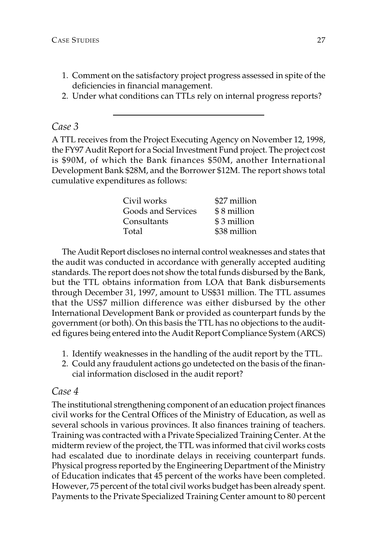- 1. Comment on the satisfactory project progress assessed in spite of the deficiencies in financial management.
- 2. Under what conditions can TTLs rely on internal progress reports?

#### *Case 3*

A TTL receives from the Project Executing Agency on November 12, 1998, the FY97 Audit Report for a Social Investment Fund project. The project cost is \$90M, of which the Bank finances \$50M, another International Development Bank \$28M, and the Borrower \$12M. The report shows total cumulative expenditures as follows:

| Civil works        | \$27 million |
|--------------------|--------------|
| Goods and Services | \$8 million  |
| Consultants        | \$3 million  |
| Total              | \$38 million |

The Audit Report discloses no internal control weaknesses and states that the audit was conducted in accordance with generally accepted auditing standards. The report does not show the total funds disbursed by the Bank, but the TTL obtains information from LOA that Bank disbursements through December 31, 1997, amount to US\$31 million. The TTL assumes that the US\$7 million difference was either disbursed by the other International Development Bank or provided as counterpart funds by the government (or both). On this basis the TTL has no objections to the audited figures being entered into the Audit Report Compliance System (ARCS)

- 1. Identify weaknesses in the handling of the audit report by the TTL.
- 2. Could any fraudulent actions go undetected on the basis of the financial information disclosed in the audit report?

#### *Case 4*

The institutional strengthening component of an education project finances civil works for the Central Offices of the Ministry of Education, as well as several schools in various provinces. It also finances training of teachers. Training was contracted with a Private Specialized Training Center. At the midterm review of the project, the TTL was informed that civil works costs had escalated due to inordinate delays in receiving counterpart funds. Physical progress reported by the Engineering Department of the Ministry of Education indicates that 45 percent of the works have been completed. However, 75 percent of the total civil works budget has been already spent. Payments to the Private Specialized Training Center amount to 80 percent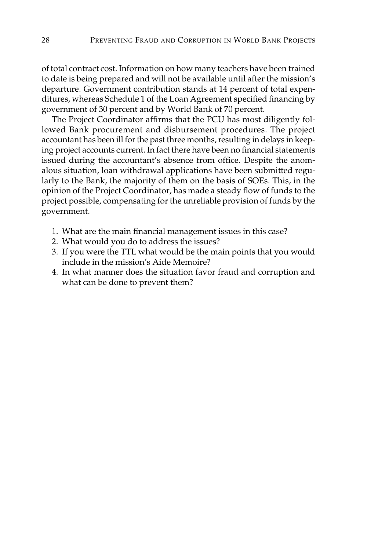of total contract cost. Information on how many teachers have been trained to date is being prepared and will not be available until after the mission's departure. Government contribution stands at 14 percent of total expenditures, whereas Schedule 1 of the Loan Agreement specified financing by government of 30 percent and by World Bank of 70 percent.

The Project Coordinator affirms that the PCU has most diligently followed Bank procurement and disbursement procedures. The project accountant has been ill for the past three months, resulting in delays in keeping project accounts current. In fact there have been no financial statements issued during the accountant's absence from office. Despite the anomalous situation, loan withdrawal applications have been submitted regularly to the Bank, the majority of them on the basis of SOEs. This, in the opinion of the Project Coordinator, has made a steady flow of funds to the project possible, compensating for the unreliable provision of funds by the government.

- 1. What are the main financial management issues in this case?
- 2. What would you do to address the issues?
- 3. If you were the TTL what would be the main points that you would include in the mission's Aide Memoire?
- 4. In what manner does the situation favor fraud and corruption and what can be done to prevent them?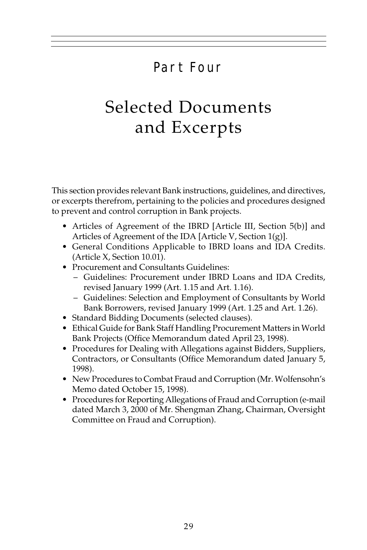## Part Four

## Selected Documents and Excerpts

This section provides relevant Bank instructions, guidelines, and directives, or excerpts therefrom, pertaining to the policies and procedures designed to prevent and control corruption in Bank projects.

- Articles of Agreement of the IBRD [Article III, Section 5(b)] and Articles of Agreement of the IDA [Article V, Section 1(g)].
- General Conditions Applicable to IBRD loans and IDA Credits. (Article X, Section 10.01).
- Procurement and Consultants Guidelines:
	- Guidelines: Procurement under IBRD Loans and IDA Credits, revised January 1999 (Art. 1.15 and Art. 1.16).
	- Guidelines: Selection and Employment of Consultants by World Bank Borrowers, revised January 1999 (Art. 1.25 and Art. 1.26).
- Standard Bidding Documents (selected clauses).
- Ethical Guide for Bank Staff Handling Procurement Matters in World Bank Projects (Office Memorandum dated April 23, 1998).
- Procedures for Dealing with Allegations against Bidders, Suppliers, Contractors, or Consultants (Office Memorandum dated January 5, 1998).
- New Procedures to Combat Fraud and Corruption (Mr. Wolfensohn's Memo dated October 15, 1998).
- Procedures for Reporting Allegations of Fraud and Corruption (e-mail dated March 3, 2000 of Mr. Shengman Zhang, Chairman, Oversight Committee on Fraud and Corruption).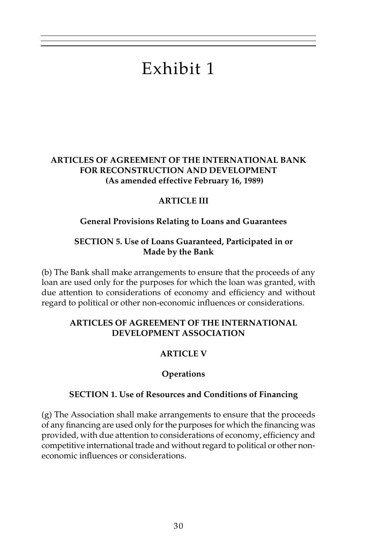# Exhibit 1

#### **ARTICLES OF AGREEMENT OF THE INTERNATIONAL BANK FOR RECONSTRUCTION AND DEVELOPMENT (As amended effective February 16, 1989)**

#### **ARTICLE III**

#### **General Provisions Relating to Loans and Guarantees**

#### **SECTION 5. Use of Loans Guaranteed, Participated in or Made by the Bank**

(b) The Bank shall make arrangements to ensure that the proceeds of any loan are used only for the purposes for which the loan was granted, with due attention to considerations of economy and efficiency and without regard to political or other non-economic influences or considerations.

#### **ARTICLES OF AGREEMENT OF THE INTERNATIONAL DEVELOPMENT ASSOCIATION**

### **ARTICLE V**

#### **Operations**

#### **SECTION 1. Use of Resources and Conditions of Financing**

(g) The Association shall make arrangements to ensure that the proceeds of any financing are used only for the purposes for which the financing was provided, with due attention to considerations of economy, efficiency and competitive international trade and without regard to political or other noneconomic influences or considerations.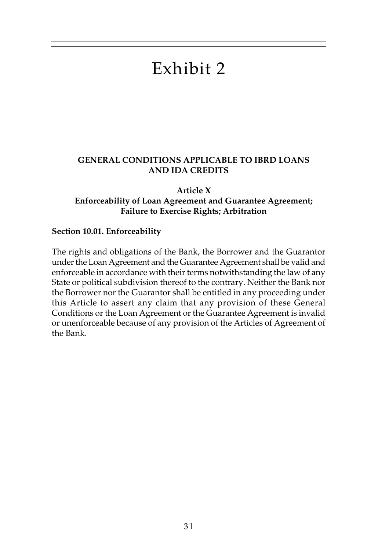## Exhibit 2

#### **GENERAL CONDITIONS APPLICABLE TO IBRD LOANS AND IDA CREDITS**

**Article X Enforceability of Loan Agreement and Guarantee Agreement; Failure to Exercise Rights; Arbitration**

#### **Section 10.01. Enforceability**

The rights and obligations of the Bank, the Borrower and the Guarantor under the Loan Agreement and the Guarantee Agreement shall be valid and enforceable in accordance with their terms notwithstanding the law of any State or political subdivision thereof to the contrary. Neither the Bank nor the Borrower nor the Guarantor shall be entitled in any proceeding under this Article to assert any claim that any provision of these General Conditions or the Loan Agreement or the Guarantee Agreement is invalid or unenforceable because of any provision of the Articles of Agreement of the Bank.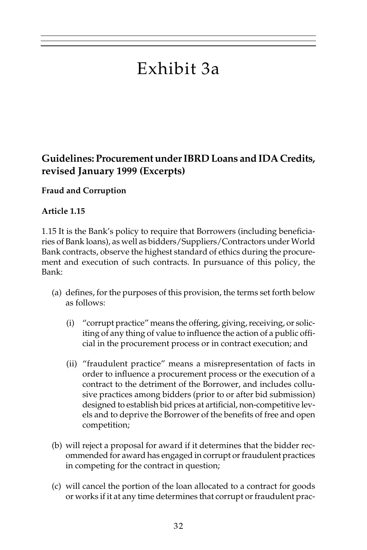## Exhibit 3a

## **Guidelines: Procurement under IBRD Loans and IDA Credits, revised January 1999 (Excerpts)**

#### **Fraud and Corruption**

#### **Article 1.15**

1.15 It is the Bank's policy to require that Borrowers (including beneficiaries of Bank loans), as well as bidders/Suppliers/Contractors under World Bank contracts, observe the highest standard of ethics during the procurement and execution of such contracts. In pursuance of this policy, the Bank:

- (a) defines, for the purposes of this provision, the terms set forth below as follows:
	- (i) "corrupt practice" means the offering, giving, receiving, or soliciting of any thing of value to influence the action of a public official in the procurement process or in contract execution; and
	- (ii) "fraudulent practice" means a misrepresentation of facts in order to influence a procurement process or the execution of a contract to the detriment of the Borrower, and includes collusive practices among bidders (prior to or after bid submission) designed to establish bid prices at artificial, non-competitive levels and to deprive the Borrower of the benefits of free and open competition;
- (b) will reject a proposal for award if it determines that the bidder recommended for award has engaged in corrupt or fraudulent practices in competing for the contract in question;
- (c) will cancel the portion of the loan allocated to a contract for goods or works if it at any time determines that corrupt or fraudulent prac-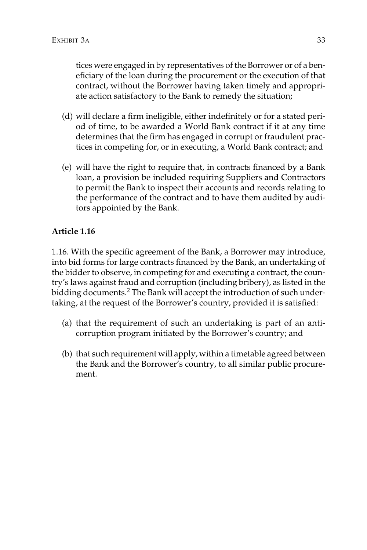tices were engaged in by representatives of the Borrower or of a beneficiary of the loan during the procurement or the execution of that contract, without the Borrower having taken timely and appropriate action satisfactory to the Bank to remedy the situation;

- (d) will declare a firm ineligible, either indefinitely or for a stated period of time, to be awarded a World Bank contract if it at any time determines that the firm has engaged in corrupt or fraudulent practices in competing for, or in executing, a World Bank contract; and
- (e) will have the right to require that, in contracts financed by a Bank loan, a provision be included requiring Suppliers and Contractors to permit the Bank to inspect their accounts and records relating to the performance of the contract and to have them audited by auditors appointed by the Bank.

#### **Article 1.16**

1.16. With the specific agreement of the Bank, a Borrower may introduce, into bid forms for large contracts financed by the Bank, an undertaking of the bidder to observe, in competing for and executing a contract, the country's laws against fraud and corruption (including bribery), as listed in the bidding documents.<sup>2</sup> The Bank will accept the introduction of such undertaking, at the request of the Borrower's country, provided it is satisfied:

- (a) that the requirement of such an undertaking is part of an anticorruption program initiated by the Borrower's country; and
- (b) that such requirement will apply, within a timetable agreed between the Bank and the Borrower's country, to all similar public procurement.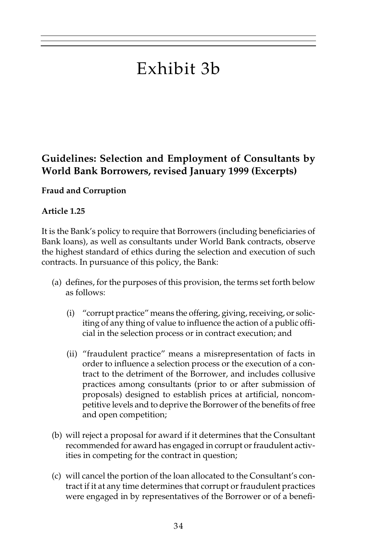# Exhibit 3b

## **Guidelines: Selection and Employment of Consultants by World Bank Borrowers, revised January 1999 (Excerpts)**

#### **Fraud and Corruption**

#### **Article 1.25**

It is the Bank's policy to require that Borrowers (including beneficiaries of Bank loans), as well as consultants under World Bank contracts, observe the highest standard of ethics during the selection and execution of such contracts. In pursuance of this policy, the Bank:

- (a) defines, for the purposes of this provision, the terms set forth below as follows:
	- (i) "corrupt practice" means the offering, giving, receiving, or soliciting of any thing of value to influence the action of a public official in the selection process or in contract execution; and
	- (ii) "fraudulent practice" means a misrepresentation of facts in order to influence a selection process or the execution of a contract to the detriment of the Borrower, and includes collusive practices among consultants (prior to or after submission of proposals) designed to establish prices at artificial, noncompetitive levels and to deprive the Borrower of the benefits of free and open competition;
- (b) will reject a proposal for award if it determines that the Consultant recommended for award has engaged in corrupt or fraudulent activities in competing for the contract in question;
- (c) will cancel the portion of the loan allocated to the Consultant's contract if it at any time determines that corrupt or fraudulent practices were engaged in by representatives of the Borrower or of a benefi-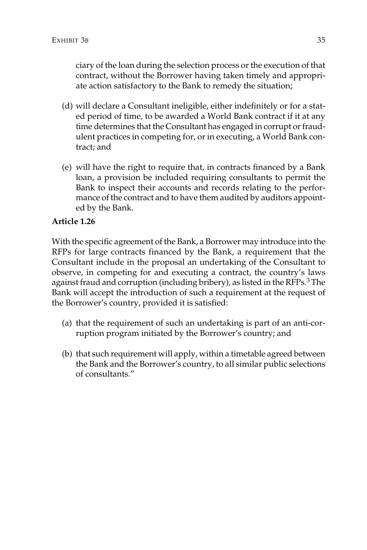ciary of the loan during the selection process or the execution of that contract, without the Borrower having taken timely and appropriate action satisfactory to the Bank to remedy the situation;

- (d) will declare a Consultant ineligible, either indefinitely or for a stated period of time, to be awarded a World Bank contract if it at any time determines that the Consultant has engaged in corrupt or fraudulent practices in competing for, or in executing, a World Bank contract; and
- (e) will have the right to require that, in contracts financed by a Bank loan, a provision be included requiring consultants to permit the Bank to inspect their accounts and records relating to the performance of the contract and to have them audited by auditors appointed by the Bank.

#### **Article 1.26**

With the specific agreement of the Bank, a Borrower may introduce into the RFPs for large contracts financed by the Bank, a requirement that the Consultant include in the proposal an undertaking of the Consultant to observe, in competing for and executing a contract, the country's laws against fraud and corruption (including bribery), as listed in the RFPs.<sup>3</sup> The Bank will accept the introduction of such a requirement at the request of the Borrower's country, provided it is satisfied:

- (a) that the requirement of such an undertaking is part of an anti-corruption program initiated by the Borrower's country; and
- (b) that such requirement will apply, within a timetable agreed between the Bank and the Borrower's country, to all similar public selections of consultants."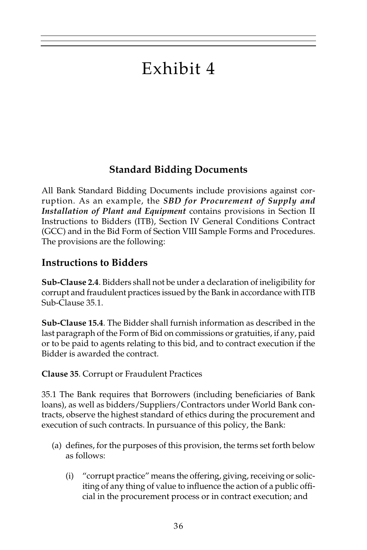# Exhibit 4

## **Standard Bidding Documents**

All Bank Standard Bidding Documents include provisions against corruption. As an example, the *SBD for Procurement of Supply and Installation of Plant and Equipment* contains provisions in Section II Instructions to Bidders (ITB), Section IV General Conditions Contract (GCC) and in the Bid Form of Section VIII Sample Forms and Procedures. The provisions are the following:

## **Instructions to Bidders**

**Sub-Clause 2.4**. Bidders shall not be under a declaration of ineligibility for corrupt and fraudulent practices issued by the Bank in accordance with ITB Sub-Clause 35.1.

**Sub-Clause 15.4**. The Bidder shall furnish information as described in the last paragraph of the Form of Bid on commissions or gratuities, if any, paid or to be paid to agents relating to this bid, and to contract execution if the Bidder is awarded the contract.

**Clause 35**. Corrupt or Fraudulent Practices

35.1 The Bank requires that Borrowers (including beneficiaries of Bank loans), as well as bidders/Suppliers/Contractors under World Bank contracts, observe the highest standard of ethics during the procurement and execution of such contracts. In pursuance of this policy, the Bank:

- (a) defines, for the purposes of this provision, the terms set forth below as follows:
	- (i) "corrupt practice" means the offering, giving, receiving or soliciting of any thing of value to influence the action of a public official in the procurement process or in contract execution; and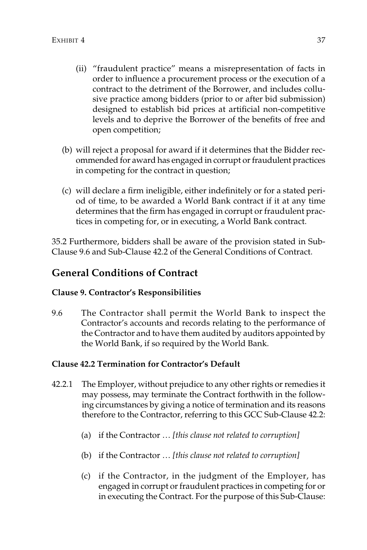- (ii) "fraudulent practice" means a misrepresentation of facts in order to influence a procurement process or the execution of a contract to the detriment of the Borrower, and includes collusive practice among bidders (prior to or after bid submission) designed to establish bid prices at artificial non-competitive levels and to deprive the Borrower of the benefits of free and open competition;
- (b) will reject a proposal for award if it determines that the Bidder recommended for award has engaged in corrupt or fraudulent practices in competing for the contract in question;
- (c) will declare a firm ineligible, either indefinitely or for a stated period of time, to be awarded a World Bank contract if it at any time determines that the firm has engaged in corrupt or fraudulent practices in competing for, or in executing, a World Bank contract.

35.2 Furthermore, bidders shall be aware of the provision stated in Sub-Clause 9.6 and Sub-Clause 42.2 of the General Conditions of Contract.

## **General Conditions of Contract**

#### **Clause 9. Contractor's Responsibilities**

9.6 The Contractor shall permit the World Bank to inspect the Contractor's accounts and records relating to the performance of the Contractor and to have them audited by auditors appointed by the World Bank, if so required by the World Bank.

#### **Clause 42.2 Termination for Contractor's Default**

- 42.2.1 The Employer, without prejudice to any other rights or remedies it may possess, may terminate the Contract forthwith in the following circumstances by giving a notice of termination and its reasons therefore to the Contractor, referring to this GCC Sub-Clause 42.2:
	- (a) if the Contractor … *[this clause not related to corruption]*
	- (b) if the Contractor … *[this clause not related to corruption]*
	- (c) if the Contractor, in the judgment of the Employer, has engaged in corrupt or fraudulent practices in competing for or in executing the Contract. For the purpose of this Sub-Clause: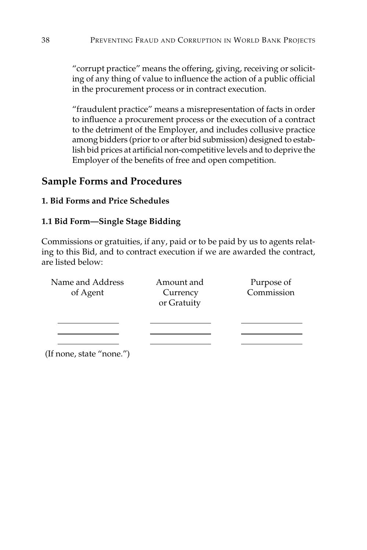"corrupt practice" means the offering, giving, receiving or soliciting of any thing of value to influence the action of a public official in the procurement process or in contract execution.

"fraudulent practice" means a misrepresentation of facts in order to influence a procurement process or the execution of a contract to the detriment of the Employer, and includes collusive practice among bidders (prior to or after bid submission) designed to establish bid prices at artificial non-competitive levels and to deprive the Employer of the benefits of free and open competition.

## **Sample Forms and Procedures**

#### **1. Bid Forms and Price Schedules**

#### **1.1 Bid Form—Single Stage Bidding**

Commissions or gratuities, if any, paid or to be paid by us to agents relating to this Bid, and to contract execution if we are awarded the contract, are listed below:

| Name and Address         | Amount and  | Purpose of |
|--------------------------|-------------|------------|
| of Agent                 | Currency    | Commission |
|                          | or Gratuity |            |
|                          |             |            |
|                          |             |            |
|                          |             |            |
| (If none, state "none.") |             |            |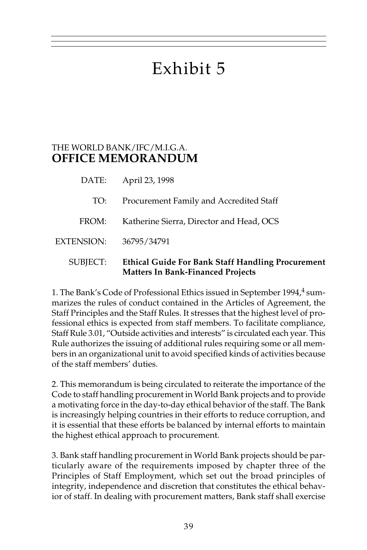# Exhibit 5

## THE WORLD BANK/IFC/M.I.G.A. **OFFICE MEMORANDUM**

| SUBJECT:   | <b>Ethical Guide For Bank Staff Handling Procurement</b><br><b>Matters In Bank-Financed Projects</b> |
|------------|------------------------------------------------------------------------------------------------------|
| EXTENSION: | 36795/34791                                                                                          |
| FROM:      | Katherine Sierra, Director and Head, OCS                                                             |
| TO:        | Procurement Family and Accredited Staff                                                              |
|            | DATE: April 23, 1998                                                                                 |

1. The Bank's Code of Professional Ethics issued in September 1994,<sup>4</sup> summarizes the rules of conduct contained in the Articles of Agreement, the Staff Principles and the Staff Rules. It stresses that the highest level of professional ethics is expected from staff members. To facilitate compliance, Staff Rule 3.01, "Outside activities and interests" is circulated each year. This Rule authorizes the issuing of additional rules requiring some or all members in an organizational unit to avoid specified kinds of activities because of the staff members' duties.

2. This memorandum is being circulated to reiterate the importance of the Code to staff handling procurement in World Bank projects and to provide a motivating force in the day-to-day ethical behavior of the staff. The Bank is increasingly helping countries in their efforts to reduce corruption, and it is essential that these efforts be balanced by internal efforts to maintain the highest ethical approach to procurement.

3. Bank staff handling procurement in World Bank projects should be particularly aware of the requirements imposed by chapter three of the Principles of Staff Employment, which set out the broad principles of integrity, independence and discretion that constitutes the ethical behavior of staff. In dealing with procurement matters, Bank staff shall exercise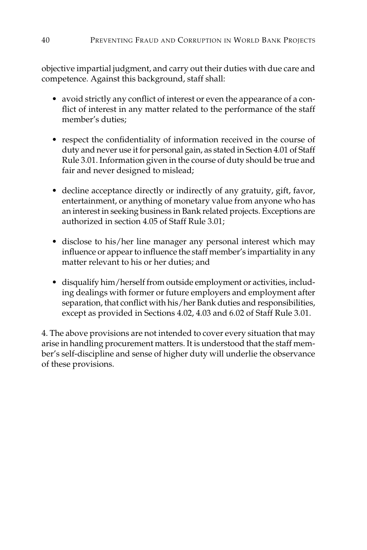objective impartial judgment, and carry out their duties with due care and competence. Against this background, staff shall:

- avoid strictly any conflict of interest or even the appearance of a conflict of interest in any matter related to the performance of the staff member's duties;
- respect the confidentiality of information received in the course of duty and never use it for personal gain, as stated in Section 4.01 of Staff Rule 3.01. Information given in the course of duty should be true and fair and never designed to mislead;
- decline acceptance directly or indirectly of any gratuity, gift, favor, entertainment, or anything of monetary value from anyone who has an interest in seeking business in Bank related projects. Exceptions are authorized in section 4.05 of Staff Rule 3.01;
- disclose to his/her line manager any personal interest which may influence or appear to influence the staff member's impartiality in any matter relevant to his or her duties; and
- disqualify him/herself from outside employment or activities, including dealings with former or future employers and employment after separation, that conflict with his/her Bank duties and responsibilities, except as provided in Sections 4.02, 4.03 and 6.02 of Staff Rule 3.01.

4. The above provisions are not intended to cover every situation that may arise in handling procurement matters. It is understood that the staff member's self-discipline and sense of higher duty will underlie the observance of these provisions.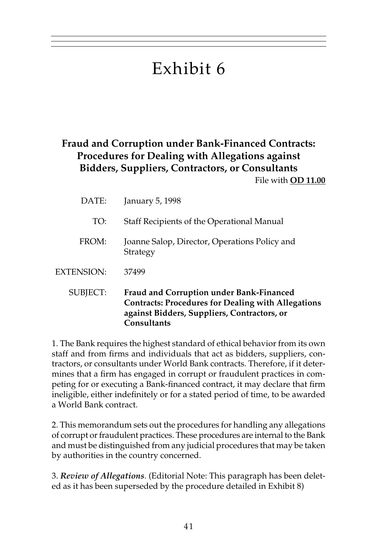# Exhibit 6

## **Fraud and Corruption under Bank-Financed Contracts: Procedures for Dealing with Allegations against Bidders, Suppliers, Contractors, or Consultants**

File with **OD 11.00**

| DATE:      | January 5, 1998                                                                                                                                                                   |
|------------|-----------------------------------------------------------------------------------------------------------------------------------------------------------------------------------|
| TO:        | Staff Recipients of the Operational Manual                                                                                                                                        |
| FROM:      | Joanne Salop, Director, Operations Policy and<br>Strategy                                                                                                                         |
| EXTENSION: | 37499                                                                                                                                                                             |
| SUBJECT:   | <b>Fraud and Corruption under Bank-Financed</b><br><b>Contracts: Procedures for Dealing with Allegations</b><br>against Bidders, Suppliers, Contractors, or<br><b>Consultants</b> |

1. The Bank requires the highest standard of ethical behavior from its own staff and from firms and individuals that act as bidders, suppliers, contractors, or consultants under World Bank contracts. Therefore, if it determines that a firm has engaged in corrupt or fraudulent practices in competing for or executing a Bank-financed contract, it may declare that firm ineligible, either indefinitely or for a stated period of time, to be awarded a World Bank contract.

2. This memorandum sets out the procedures for handling any allegations of corrupt or fraudulent practices. These procedures are internal to the Bank and must be distinguished from any judicial procedures that may be taken by authorities in the country concerned.

3. *Review of Allegations*. (Editorial Note: This paragraph has been deleted as it has been superseded by the procedure detailed in Exhibit 8)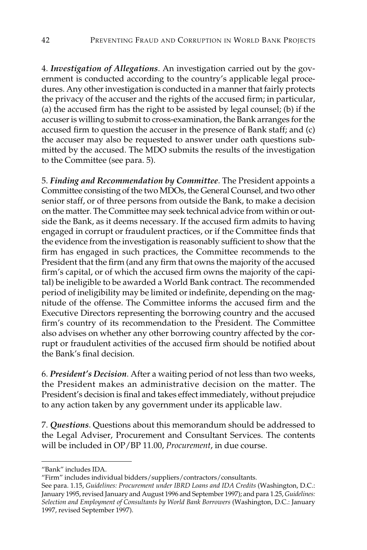4. *Investigation of Allegations*. An investigation carried out by the government is conducted according to the country's applicable legal procedures. Any other investigation is conducted in a manner that fairly protects the privacy of the accuser and the rights of the accused firm; in particular, (a) the accused firm has the right to be assisted by legal counsel; (b) if the accuser is willing to submit to cross-examination, the Bank arranges for the accused firm to question the accuser in the presence of Bank staff; and (c) the accuser may also be requested to answer under oath questions submitted by the accused. The MDO submits the results of the investigation to the Committee (see para. 5).

5. *Finding and Recommendation by Committee*. The President appoints a Committee consisting of the two MDOs, the General Counsel, and two other senior staff, or of three persons from outside the Bank, to make a decision on the matter. The Committee may seek technical advice from within or outside the Bank, as it deems necessary. If the accused firm admits to having engaged in corrupt or fraudulent practices, or if the Committee finds that the evidence from the investigation is reasonably sufficient to show that the firm has engaged in such practices, the Committee recommends to the President that the firm (and any firm that owns the majority of the accused firm's capital, or of which the accused firm owns the majority of the capital) be ineligible to be awarded a World Bank contract. The recommended period of ineligibility may be limited or indefinite, depending on the magnitude of the offense. The Committee informs the accused firm and the Executive Directors representing the borrowing country and the accused firm's country of its recommendation to the President. The Committee also advises on whether any other borrowing country affected by the corrupt or fraudulent activities of the accused firm should be notified about the Bank's final decision.

6. *President's Decision*. After a waiting period of not less than two weeks, the President makes an administrative decision on the matter. The President's decision is final and takes effect immediately, without prejudice to any action taken by any government under its applicable law.

7. *Questions*. Questions about this memorandum should be addressed to the Legal Adviser, Procurement and Consultant Services. The contents will be included in OP/BP 11.00, *Procurement*, in due course.

<sup>&</sup>quot;Bank" includes IDA.

<sup>&</sup>quot;Firm" includes individual bidders/suppliers/contractors/consultants.

See para. 1.15, *Guidelines: Procurement under IBRD Loans and IDA Credits* (Washington, D.C.: January 1995, revised January and August 1996 and September 1997); and para 1.25, *Guidelines: Selection and Employment of Consultants by World Bank Borrowers* (Washington, D.C.: January 1997, revised September 1997).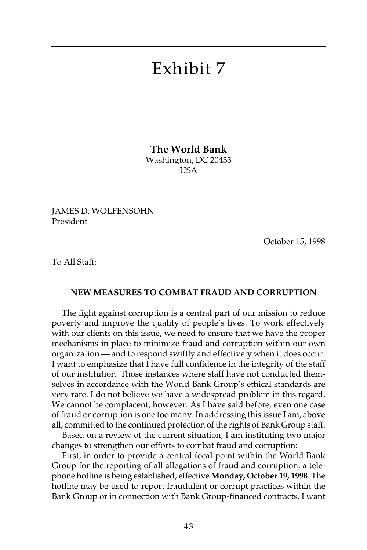## Exhibit 7

**The World Bank** Washington, DC 20433 USA

JAMES D. WOLFENSOHN President

October 15, 1998

To All Staff:

#### **NEW MEASURES TO COMBAT FRAUD AND CORRUPTION**

The fight against corruption is a central part of our mission to reduce poverty and improve the quality of people's lives. To work effectively with our clients on this issue, we need to ensure that we have the proper mechanisms in place to minimize fraud and corruption within our own organization — and to respond swiftly and effectively when it does occur. I want to emphasize that I have full confidence in the integrity of the staff of our institution. Those instances where staff have not conducted themselves in accordance with the World Bank Group's ethical standards are very rare. I do not believe we have a widespread problem in this regard. We cannot be complacent, however. As I have said before, even one case of fraud or corruption is one too many. In addressing this issue I am, above all, committed to the continued protection of the rights of Bank Group staff.

Based on a review of the current situation, I am instituting two major changes to strengthen our efforts to combat fraud and corruption:

First, in order to provide a central focal point within the World Bank Group for the reporting of all allegations of fraud and corruption, a telephone hotline is being established, effective **Monday, October 19, 1998**. The hotline may be used to report fraudulent or corrupt practices within the Bank Group or in connection with Bank Group-financed contracts. I want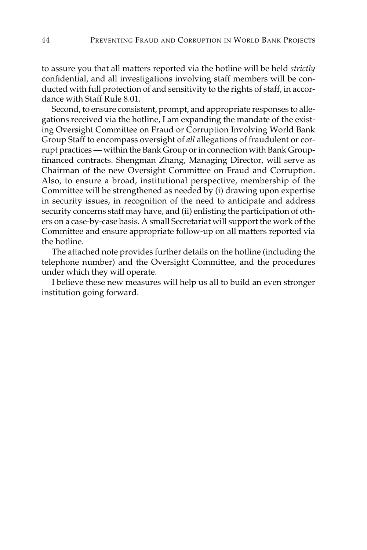to assure you that all matters reported via the hotline will be held *strictly* confidential, and all investigations involving staff members will be conducted with full protection of and sensitivity to the rights of staff, in accordance with Staff Rule 8.01.

Second, to ensure consistent, prompt, and appropriate responses to allegations received via the hotline, I am expanding the mandate of the existing Oversight Committee on Fraud or Corruption Involving World Bank Group Staff to encompass oversight of *all* allegations of fraudulent or corrupt practices — within the Bank Group or in connection with Bank Groupfinanced contracts. Shengman Zhang, Managing Director, will serve as Chairman of the new Oversight Committee on Fraud and Corruption. Also, to ensure a broad, institutional perspective, membership of the Committee will be strengthened as needed by (i) drawing upon expertise in security issues, in recognition of the need to anticipate and address security concerns staff may have, and (ii) enlisting the participation of others on a case-by-case basis. A small Secretariat will support the work of the Committee and ensure appropriate follow-up on all matters reported via the hotline.

The attached note provides further details on the hotline (including the telephone number) and the Oversight Committee, and the procedures under which they will operate.

I believe these new measures will help us all to build an even stronger institution going forward.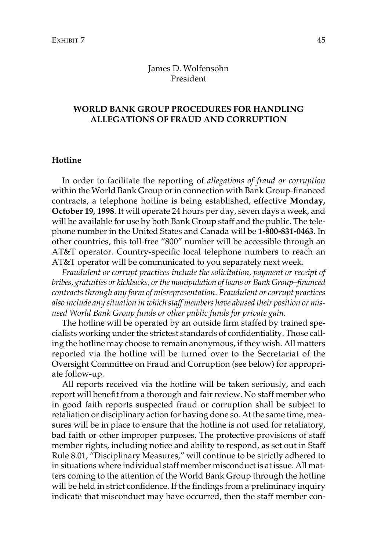#### James D. Wolfensohn President

#### **WORLD BANK GROUP PROCEDURES FOR HANDLING ALLEGATIONS OF FRAUD AND CORRUPTION**

#### **Hotline**

In order to facilitate the reporting of *allegations of fraud or corruption* within the World Bank Group or in connection with Bank Group-financed contracts, a telephone hotline is being established, effective **Monday, October 19, 1998**. It will operate 24 hours per day, seven days a week, and will be available for use by both Bank Group staff and the public. The telephone number in the United States and Canada will be **1-800-831-0463**. In other countries, this toll-free "800" number will be accessible through an AT&T operator. Country-specific local telephone numbers to reach an AT&T operator will be communicated to you separately next week.

*Fraudulent or corrupt practices include the solicitation, payment or receipt of bribes, gratuities or kickbacks, or the manipulation of loans or Bank Group–financed contracts through any form of misrepresentation. Fraudulent or corrupt practices also include any situation in which staff members have abused their position or misused World Bank Group funds or other public funds for private gain.*

The hotline will be operated by an outside firm staffed by trained specialists working under the strictest standards of confidentiality. Those calling the hotline may choose to remain anonymous, if they wish. All matters reported via the hotline will be turned over to the Secretariat of the Oversight Committee on Fraud and Corruption (see below) for appropriate follow-up.

All reports received via the hotline will be taken seriously, and each report will benefit from a thorough and fair review. No staff member who in good faith reports suspected fraud or corruption shall be subject to retaliation or disciplinary action for having done so. At the same time, measures will be in place to ensure that the hotline is not used for retaliatory, bad faith or other improper purposes. The protective provisions of staff member rights, including notice and ability to respond, as set out in Staff Rule 8.01, "Disciplinary Measures," will continue to be strictly adhered to in situations where individual staff member misconduct is at issue. All matters coming to the attention of the World Bank Group through the hotline will be held in strict confidence. If the findings from a preliminary inquiry indicate that misconduct may have occurred, then the staff member con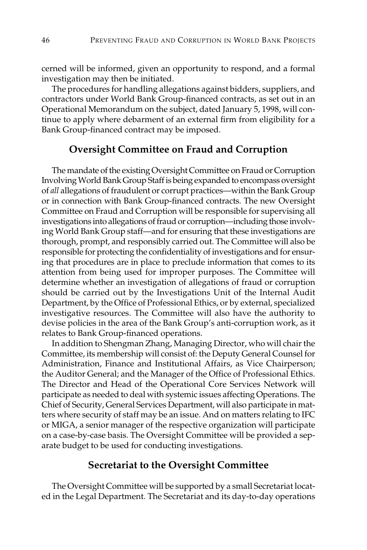cerned will be informed, given an opportunity to respond, and a formal investigation may then be initiated.

The procedures for handling allegations against bidders, suppliers, and contractors under World Bank Group-financed contracts, as set out in an Operational Memorandum on the subject, dated January 5, 1998, will continue to apply where debarment of an external firm from eligibility for a Bank Group-financed contract may be imposed.

### **Oversight Committee on Fraud and Corruption**

The mandate of the existing Oversight Committee on Fraud or Corruption Involving World Bank Group Staff is being expanded to encompass oversight of *all* allegations of fraudulent or corrupt practices—within the Bank Group or in connection with Bank Group-financed contracts. The new Oversight Committee on Fraud and Corruption will be responsible for supervising all investigations into allegations of fraud or corruption—including those involving World Bank Group staff—and for ensuring that these investigations are thorough, prompt, and responsibly carried out. The Committee will also be responsible for protecting the confidentiality of investigations and for ensuring that procedures are in place to preclude information that comes to its attention from being used for improper purposes. The Committee will determine whether an investigation of allegations of fraud or corruption should be carried out by the Investigations Unit of the Internal Audit Department, by the Office of Professional Ethics, or by external, specialized investigative resources. The Committee will also have the authority to devise policies in the area of the Bank Group's anti-corruption work, as it relates to Bank Group-financed operations.

In addition to Shengman Zhang, Managing Director, who will chair the Committee, its membership will consist of: the Deputy General Counsel for Administration, Finance and Institutional Affairs, as Vice Chairperson; the Auditor General; and the Manager of the Office of Professional Ethics. The Director and Head of the Operational Core Services Network will participate as needed to deal with systemic issues affecting Operations. The Chief of Security, General Services Department, will also participate in matters where security of staff may be an issue. And on matters relating to IFC or MIGA, a senior manager of the respective organization will participate on a case-by-case basis. The Oversight Committee will be provided a separate budget to be used for conducting investigations.

#### **Secretariat to the Oversight Committee**

The Oversight Committee will be supported by a small Secretariat located in the Legal Department. The Secretariat and its day-to-day operations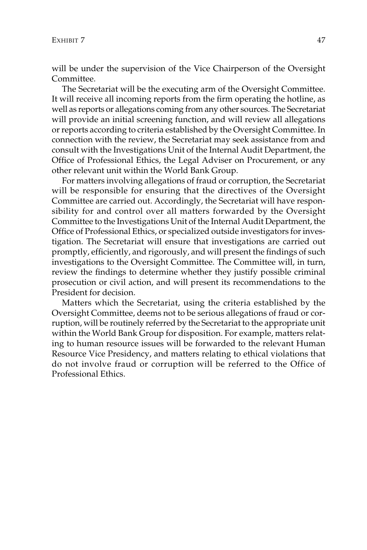will be under the supervision of the Vice Chairperson of the Oversight Committee.

The Secretariat will be the executing arm of the Oversight Committee. It will receive all incoming reports from the firm operating the hotline, as well as reports or allegations coming from any other sources. The Secretariat will provide an initial screening function, and will review all allegations or reports according to criteria established by the Oversight Committee. In connection with the review, the Secretariat may seek assistance from and consult with the Investigations Unit of the Internal Audit Department, the Office of Professional Ethics, the Legal Adviser on Procurement, or any other relevant unit within the World Bank Group.

For matters involving allegations of fraud or corruption, the Secretariat will be responsible for ensuring that the directives of the Oversight Committee are carried out. Accordingly, the Secretariat will have responsibility for and control over all matters forwarded by the Oversight Committee to the Investigations Unit of the Internal Audit Department, the Office of Professional Ethics, or specialized outside investigators for investigation. The Secretariat will ensure that investigations are carried out promptly, efficiently, and rigorously, and will present the findings of such investigations to the Oversight Committee. The Committee will, in turn, review the findings to determine whether they justify possible criminal prosecution or civil action, and will present its recommendations to the President for decision.

Matters which the Secretariat, using the criteria established by the Oversight Committee, deems not to be serious allegations of fraud or corruption, will be routinely referred by the Secretariat to the appropriate unit within the World Bank Group for disposition. For example, matters relating to human resource issues will be forwarded to the relevant Human Resource Vice Presidency, and matters relating to ethical violations that do not involve fraud or corruption will be referred to the Office of Professional Ethics.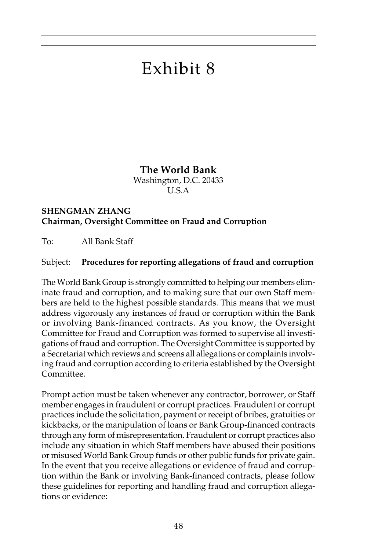# Exhibit 8

**The World Bank**

Washington, D.C. 20433 U.S.A

### **SHENGMAN ZHANG Chairman, Oversight Committee on Fraud and Corruption**

To: All Bank Staff

### Subject: **Procedures for reporting allegations of fraud and corruption**

The World Bank Group is strongly committed to helping our members eliminate fraud and corruption, and to making sure that our own Staff members are held to the highest possible standards. This means that we must address vigorously any instances of fraud or corruption within the Bank or involving Bank-financed contracts. As you know, the Oversight Committee for Fraud and Corruption was formed to supervise all investigations of fraud and corruption. The Oversight Committee is supported by a Secretariat which reviews and screens all allegations or complaints involving fraud and corruption according to criteria established by the Oversight Committee.

Prompt action must be taken whenever any contractor, borrower, or Staff member engages in fraudulent or corrupt practices. Fraudulent or corrupt practices include the solicitation, payment or receipt of bribes, gratuities or kickbacks, or the manipulation of loans or Bank Group-financed contracts through any form of misrepresentation. Fraudulent or corrupt practices also include any situation in which Staff members have abused their positions or misused World Bank Group funds or other public funds for private gain. In the event that you receive allegations or evidence of fraud and corruption within the Bank or involving Bank-financed contracts, please follow these guidelines for reporting and handling fraud and corruption allegations or evidence: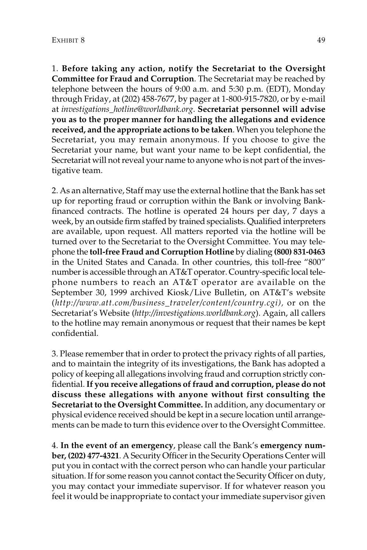1. **Before taking any action, notify the Secretariat to the Oversight Committee for Fraud and Corruption**. The Secretariat may be reached by telephone between the hours of 9:00 a.m. and 5:30 p.m. (EDT), Monday through Friday, at (202) 458-7677, by pager at 1-800-915-7820, or by e-mail at *investigations\_hotline@worldbank.org*. **Secretariat personnel will advise you as to the proper manner for handling the allegations and evidence received, and the appropriate actions to be taken**. When you telephone the Secretariat, you may remain anonymous. If you choose to give the Secretariat your name, but want your name to be kept confidential, the Secretariat will not reveal your name to anyone who is not part of the investigative team.

2. As an alternative, Staff may use the external hotline that the Bank has set up for reporting fraud or corruption within the Bank or involving Bankfinanced contracts. The hotline is operated 24 hours per day, 7 days a week, by an outside firm staffed by trained specialists. Qualified interpreters are available, upon request. All matters reported via the hotline will be turned over to the Secretariat to the Oversight Committee. You may telephone the **toll-free Fraud and Corruption Hotline** by dialing **(800) 831-0463** in the United States and Canada. In other countries, this toll-free "800" number is accessible through an AT&T operator. Country-specific local telephone numbers to reach an AT&T operator are available on the September 30, 1999 archived Kiosk/Live Bulletin, on AT&T's website (*http://www.att.com/business\_traveler/content/country.cgi),* or on the Secretariat's Website (*http://investigations.worldbank.org*). Again, all callers to the hotline may remain anonymous or request that their names be kept confidential.

3. Please remember that in order to protect the privacy rights of all parties, and to maintain the integrity of its investigations, the Bank has adopted a policy of keeping all allegations involving fraud and corruption strictly confidential.**If you receive allegations of fraud and corruption, please do not discuss these allegations with anyone without first consulting the Secretariat to the Oversight Committee.** In addition, any documentary or physical evidence received should be kept in a secure location until arrangements can be made to turn this evidence over to the Oversight Committee.

4. **In the event of an emergency**, please call the Bank's **emergency number, (202) 477-4321**. A Security Officer in the Security Operations Center will put you in contact with the correct person who can handle your particular situation. If for some reason you cannot contact the Security Officer on duty, you may contact your immediate supervisor. If for whatever reason you feel it would be inappropriate to contact your immediate supervisor given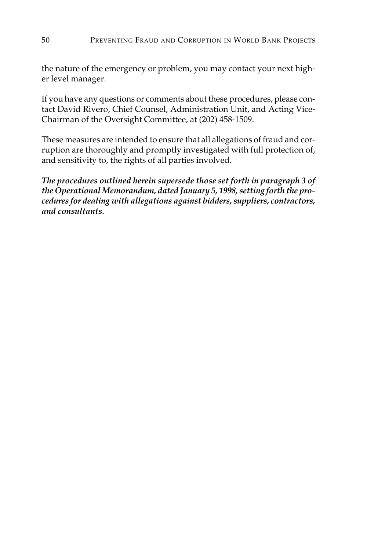the nature of the emergency or problem, you may contact your next higher level manager.

If you have any questions or comments about these procedures, please contact David Rivero, Chief Counsel, Administration Unit, and Acting Vice-Chairman of the Oversight Committee, at (202) 458-1509.

These measures are intended to ensure that all allegations of fraud and corruption are thoroughly and promptly investigated with full protection of, and sensitivity to, the rights of all parties involved.

*The procedures outlined herein supersede those set forth in paragraph 3 of the Operational Memorandum, dated January 5, 1998, setting forth the procedures for dealing with allegations against bidders, suppliers, contractors, and consultants.*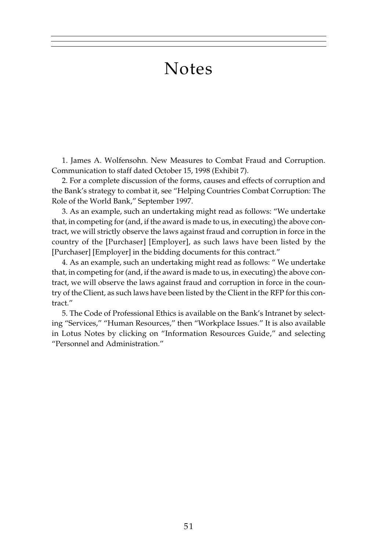## Notes

1. James A. Wolfensohn. New Measures to Combat Fraud and Corruption. Communication to staff dated October 15, 1998 (Exhibit 7).

2. For a complete discussion of the forms, causes and effects of corruption and the Bank's strategy to combat it, see "Helping Countries Combat Corruption: The Role of the World Bank," September 1997.

3. As an example, such an undertaking might read as follows: "We undertake that, in competing for (and, if the award is made to us, in executing) the above contract, we will strictly observe the laws against fraud and corruption in force in the country of the [Purchaser] [Employer], as such laws have been listed by the [Purchaser] [Employer] in the bidding documents for this contract."

4. As an example, such an undertaking might read as follows: " We undertake that, in competing for (and, if the award is made to us, in executing) the above contract, we will observe the laws against fraud and corruption in force in the country of the Client, as such laws have been listed by the Client in the RFP for this contract."

5. The Code of Professional Ethics is available on the Bank's Intranet by selecting "Services," "Human Resources," then "Workplace Issues." It is also available in Lotus Notes by clicking on "Information Resources Guide," and selecting "Personnel and Administration."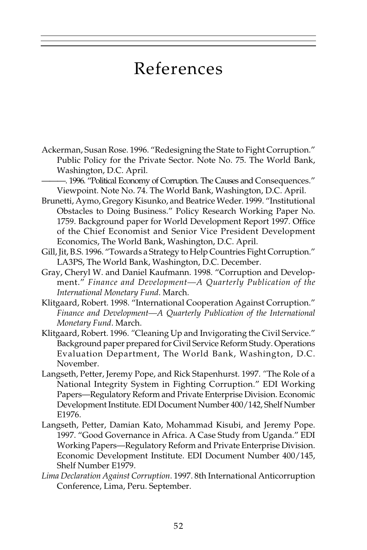## References

Ackerman, Susan Rose. 1996. "Redesigning the State to Fight Corruption." Public Policy for the Private Sector. Note No. 75. The World Bank, Washington, D.C. April.

———. 1996. "Political Economy of Corruption. The Causes and Consequences." Viewpoint. Note No. 74. The World Bank, Washington, D.C. April.

- Brunetti, Aymo, Gregory Kisunko, and Beatrice Weder. 1999. "Institutional Obstacles to Doing Business." Policy Research Working Paper No. 1759. Background paper for World Development Report 1997. Office of the Chief Economist and Senior Vice President Development Economics, The World Bank, Washington, D.C. April.
- Gill, Jit, B.S. 1996. "Towards a Strategy to Help Countries Fight Corruption." LA3PS, The World Bank, Washington, D.C. December.
- Gray, Cheryl W. and Daniel Kaufmann. 1998. "Corruption and Development." *Finance and Development—A Quarterly Publication of the International Monetary Fund*. March.
- Klitgaard, Robert. 1998. "International Cooperation Against Corruption." *Finance and Development—A Quarterly Publication of the International Monetary Fund*. March.
- Klitgaard, Robert. 1996. *"*Cleaning Up and Invigorating the Civil Service." Background paper prepared for Civil Service Reform Study. Operations Evaluation Department, The World Bank, Washington, D.C. November.
- Langseth, Petter, Jeremy Pope, and Rick Stapenhurst. 1997. *"*The Role of a National Integrity System in Fighting Corruption." EDI Working Papers—Regulatory Reform and Private Enterprise Division. Economic Development Institute. EDI Document Number 400/142, Shelf Number E1976.
- Langseth, Petter, Damian Kato, Mohammad Kisubi, and Jeremy Pope. 1997. "Good Governance in Africa. A Case Study from Uganda." EDI Working Papers—Regulatory Reform and Private Enterprise Division. Economic Development Institute. EDI Document Number 400/145, Shelf Number E1979.
- *Lima Declaration Against Corruption*. 1997. 8th International Anticorruption Conference, Lima, Peru. September.